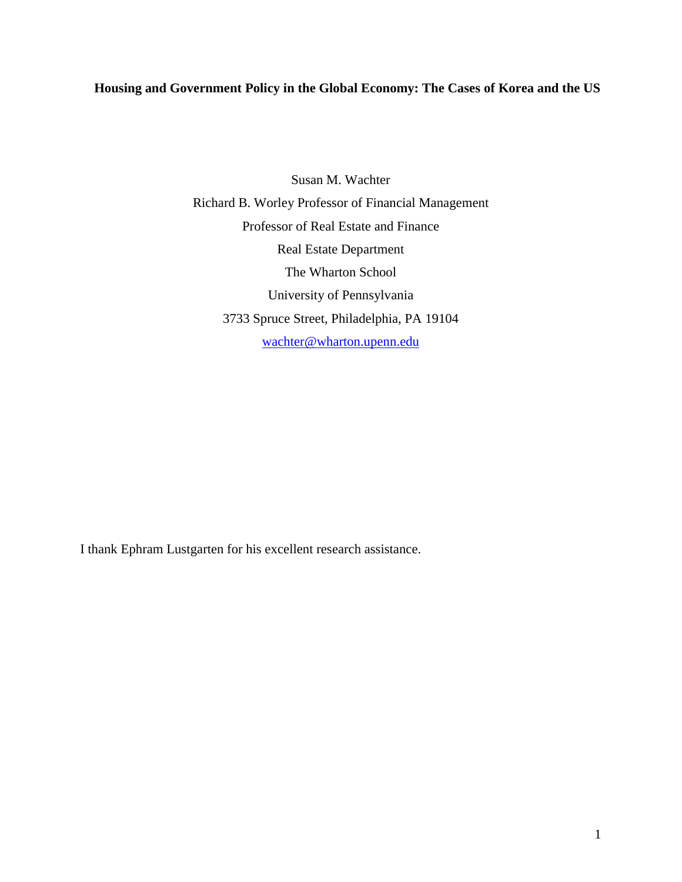# **Housing and Government Policy in the Global Economy: The Cases of Korea and the US**

Susan M. Wachter Richard B. Worley Professor of Financial Management Professor of Real Estate and Finance Real Estate Department The Wharton School University of Pennsylvania 3733 Spruce Street, Philadelphia, PA 19104 wachter@wharton.upenn.edu

I thank Ephram Lustgarten for his excellent research assistance.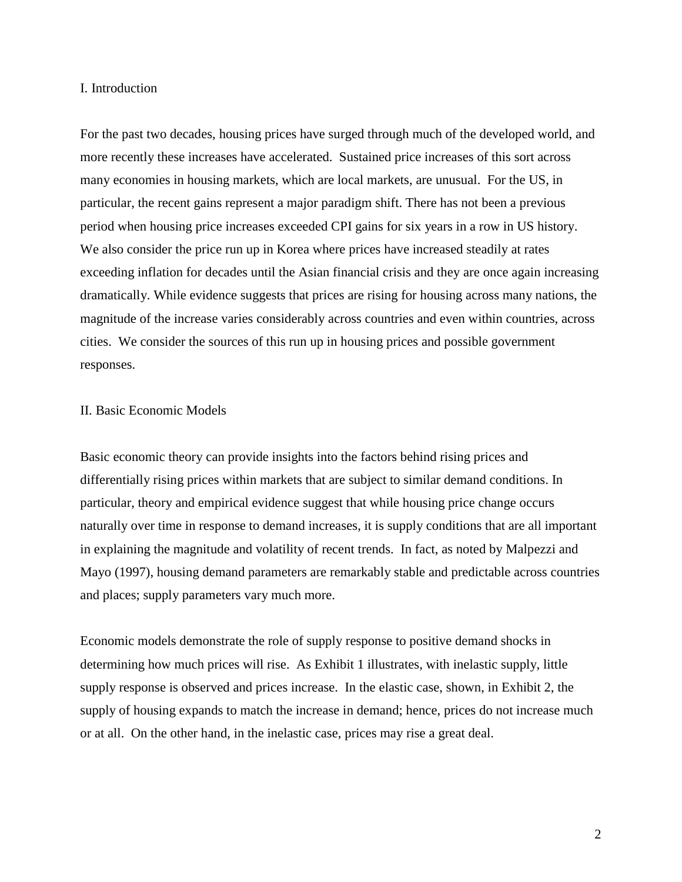## I. Introduction

For the past two decades, housing prices have surged through much of the developed world, and more recently these increases have accelerated. Sustained price increases of this sort across many economies in housing markets, which are local markets, are unusual. For the US, in particular, the recent gains represent a major paradigm shift. There has not been a previous period when housing price increases exceeded CPI gains for six years in a row in US history. We also consider the price run up in Korea where prices have increased steadily at rates exceeding inflation for decades until the Asian financial crisis and they are once again increasing dramatically. While evidence suggests that prices are rising for housing across many nations, the magnitude of the increase varies considerably across countries and even within countries, across cities. We consider the sources of this run up in housing prices and possible government responses.

# II. Basic Economic Models

Basic economic theory can provide insights into the factors behind rising prices and differentially rising prices within markets that are subject to similar demand conditions. In particular, theory and empirical evidence suggest that while housing price change occurs naturally over time in response to demand increases, it is supply conditions that are all important in explaining the magnitude and volatility of recent trends. In fact, as noted by Malpezzi and Mayo (1997), housing demand parameters are remarkably stable and predictable across countries and places; supply parameters vary much more.

Economic models demonstrate the role of supply response to positive demand shocks in determining how much prices will rise. As Exhibit 1 illustrates, with inelastic supply, little supply response is observed and prices increase. In the elastic case, shown, in Exhibit 2, the supply of housing expands to match the increase in demand; hence, prices do not increase much or at all. On the other hand, in the inelastic case, prices may rise a great deal.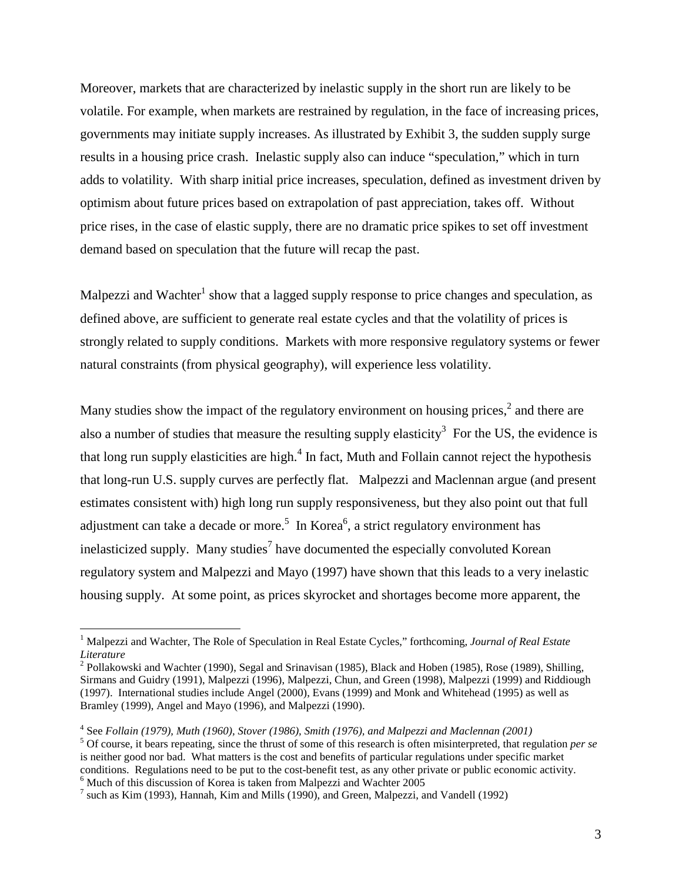Moreover, markets that are characterized by inelastic supply in the short run are likely to be volatile. For example, when markets are restrained by regulation, in the face of increasing prices, governments may initiate supply increases. As illustrated by Exhibit 3, the sudden supply surge results in a housing price crash. Inelastic supply also can induce "speculation," which in turn adds to volatility. With sharp initial price increases, speculation, defined as investment driven by optimism about future prices based on extrapolation of past appreciation, takes off. Without price rises, in the case of elastic supply, there are no dramatic price spikes to set off investment demand based on speculation that the future will recap the past.

Malpezzi and Wachter<sup>1</sup> show that a lagged supply response to price changes and speculation, as defined above, are sufficient to generate real estate cycles and that the volatility of prices is strongly related to supply conditions. Markets with more responsive regulatory systems or fewer natural constraints (from physical geography), will experience less volatility.

Many studies show the impact of the regulatory environment on housing prices,<sup>2</sup> and there are also a number of studies that measure the resulting supply elasticity<sup>3</sup> For the US, the evidence is that long run supply elasticities are high.<sup>4</sup> In fact, Muth and Follain cannot reject the hypothesis that long-run U.S. supply curves are perfectly flat. Malpezzi and Maclennan argue (and present estimates consistent with) high long run supply responsiveness, but they also point out that full adjustment can take a decade or more.<sup>5</sup> In Korea<sup>6</sup>, a strict regulatory environment has inelasticized supply. Many studies<sup>7</sup> have documented the especially convoluted Korean regulatory system and Malpezzi and Mayo (1997) have shown that this leads to a very inelastic housing supply. At some point, as prices skyrocket and shortages become more apparent, the

<sup>&</sup>lt;sup>1</sup> Malpezzi and Wachter, The Role of Speculation in Real Estate Cycles," forthcoming, *Journal of Real Estate Literature*

<sup>&</sup>lt;sup>2</sup> Pollakowski and Wachter (1990), Segal and Srinavisan (1985), Black and Hoben (1985), Rose (1989), Shilling, Sirmans and Guidry (1991), Malpezzi (1996), Malpezzi, Chun, and Green (1998), Malpezzi (1999) and Riddiough (1997). International studies include Angel (2000), Evans (1999) and Monk and Whitehead (1995) as well as Bramley (1999), Angel and Mayo (1996), and Malpezzi (1990).

<sup>&</sup>lt;sup>4</sup> See *Follain (1979), Muth (1960), Stover (1986), Smith (1976), and Malpezzi and Maclennan (2001)*<sup>5</sup> Of course it begrees reporting since the three structures of this recessable of the misintermeted that re-

Of course, it bears repeating, since the thrust of some of this research is often misinterpreted, that regulation *per se*  is neither good nor bad. What matters is the cost and benefits of particular regulations under specific market conditions. Regulations need to be put to the cost-benefit test, as any other private or public economic activity. 6 Much of this discussion of Korea is taken from Malpezzi and Wachter 2005

 $^7$  such as Kim (1993), Hannah, Kim and Mills (1990), and Green, Malpezzi, and Vandell (1992)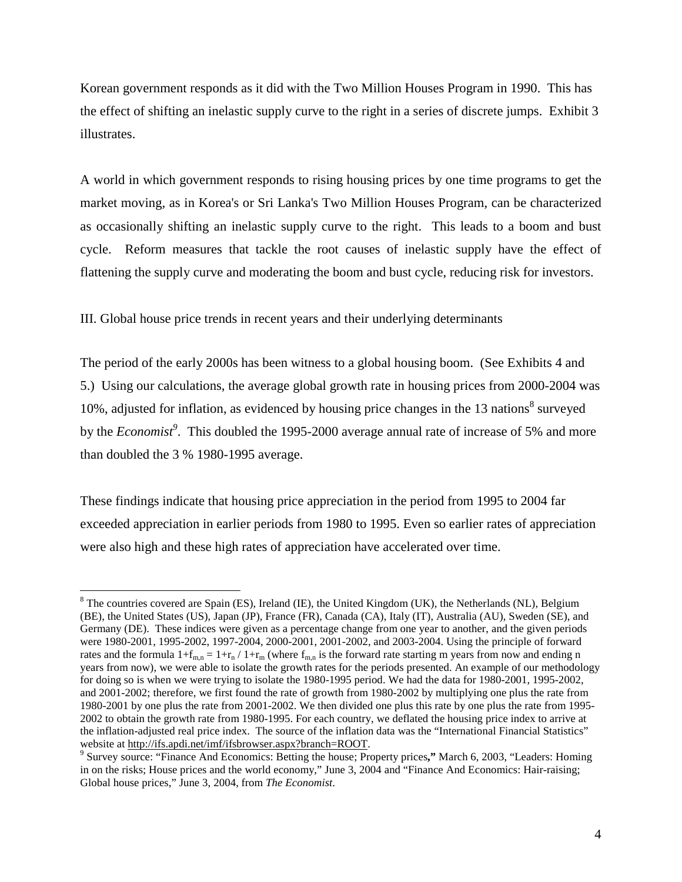Korean government responds as it did with the Two Million Houses Program in 1990. This has the effect of shifting an inelastic supply curve to the right in a series of discrete jumps. Exhibit 3 illustrates.

A world in which government responds to rising housing prices by one time programs to get the market moving, as in Korea's or Sri Lanka's Two Million Houses Program, can be characterized as occasionally shifting an inelastic supply curve to the right. This leads to a boom and bust cycle. Reform measures that tackle the root causes of inelastic supply have the effect of flattening the supply curve and moderating the boom and bust cycle, reducing risk for investors.

III. Global house price trends in recent years and their underlying determinants

 $\overline{a}$ 

The period of the early 2000s has been witness to a global housing boom. (See Exhibits 4 and 5.) Using our calculations, the average global growth rate in housing prices from 2000-2004 was 10%, adjusted for inflation, as evidenced by housing price changes in the 13 nations $8$  surveyed by the *Economist<sup>9</sup>* . This doubled the 1995-2000 average annual rate of increase of 5% and more than doubled the 3 % 1980-1995 average.

These findings indicate that housing price appreciation in the period from 1995 to 2004 far exceeded appreciation in earlier periods from 1980 to 1995. Even so earlier rates of appreciation were also high and these high rates of appreciation have accelerated over time.

 $8$  The countries covered are Spain (ES), Ireland (IE), the United Kingdom (UK), the Netherlands (NL), Belgium (BE), the United States (US), Japan (JP), France (FR), Canada (CA), Italy (IT), Australia (AU), Sweden (SE), and Germany (DE). These indices were given as a percentage change from one year to another, and the given periods were 1980-2001, 1995-2002, 1997-2004, 2000-2001, 2001-2002, and 2003-2004. Using the principle of forward rates and the formula  $1+f_{m,n} = 1+r_n / 1+r_m$  (where  $f_{m,n}$  is the forward rate starting m years from now and ending n years from now), we were able to isolate the growth rates for the periods presented. An example of our methodology for doing so is when we were trying to isolate the 1980-1995 period. We had the data for 1980-2001, 1995-2002, and 2001-2002; therefore, we first found the rate of growth from 1980-2002 by multiplying one plus the rate from 1980-2001 by one plus the rate from 2001-2002. We then divided one plus this rate by one plus the rate from 1995- 2002 to obtain the growth rate from 1980-1995. For each country, we deflated the housing price index to arrive at the inflation-adjusted real price index. The source of the inflation data was the "International Financial Statistics" website at http://ifs.apdi.net/imf/ifsbrowser.aspx?branch=ROOT.

Survey source: "Finance And Economics: Betting the house; Property prices**,"** March 6, 2003, "Leaders: Homing in on the risks; House prices and the world economy," June 3, 2004 and "Finance And Economics: Hair-raising; Global house prices," June 3, 2004, from *The Economist*.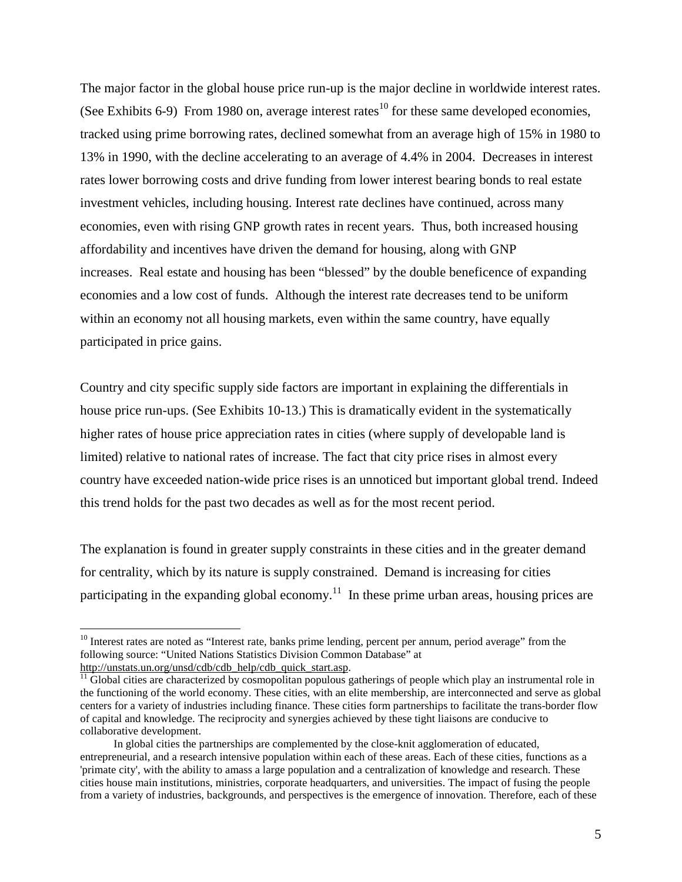The major factor in the global house price run-up is the major decline in worldwide interest rates. (See Exhibits 6-9) From 1980 on, average interest rates<sup>10</sup> for these same developed economies, tracked using prime borrowing rates, declined somewhat from an average high of 15% in 1980 to 13% in 1990, with the decline accelerating to an average of 4.4% in 2004. Decreases in interest rates lower borrowing costs and drive funding from lower interest bearing bonds to real estate investment vehicles, including housing. Interest rate declines have continued, across many economies, even with rising GNP growth rates in recent years. Thus, both increased housing affordability and incentives have driven the demand for housing, along with GNP increases. Real estate and housing has been "blessed" by the double beneficence of expanding economies and a low cost of funds. Although the interest rate decreases tend to be uniform within an economy not all housing markets, even within the same country, have equally participated in price gains.

Country and city specific supply side factors are important in explaining the differentials in house price run-ups. (See Exhibits 10-13.) This is dramatically evident in the systematically higher rates of house price appreciation rates in cities (where supply of developable land is limited) relative to national rates of increase. The fact that city price rises in almost every country have exceeded nation-wide price rises is an unnoticed but important global trend. Indeed this trend holds for the past two decades as well as for the most recent period.

The explanation is found in greater supply constraints in these cities and in the greater demand for centrality, which by its nature is supply constrained. Demand is increasing for cities participating in the expanding global economy.<sup>11</sup> In these prime urban areas, housing prices are

<sup>&</sup>lt;sup>10</sup> Interest rates are noted as "Interest rate, banks prime lending, percent per annum, period average" from the following source: "United Nations Statistics Division Common Database" at

http://unstats.un.org/unsd/cdb/cdb\_help/cdb\_quick\_start.asp.  $\frac{11}{11}$  Global cities are characterized by cosmopolitan populous gatherings of people which play an instrumental role in the functioning of the world economy. These cities, with an elite membership, are interconnected and serve as global centers for a variety of industries including finance. These cities form partnerships to facilitate the trans-border flow of capital and knowledge. The reciprocity and synergies achieved by these tight liaisons are conducive to collaborative development.

In global cities the partnerships are complemented by the close-knit agglomeration of educated, entrepreneurial, and a research intensive population within each of these areas. Each of these cities, functions as a 'primate city', with the ability to amass a large population and a centralization of knowledge and research. These cities house main institutions, ministries, corporate headquarters, and universities. The impact of fusing the people from a variety of industries, backgrounds, and perspectives is the emergence of innovation. Therefore, each of these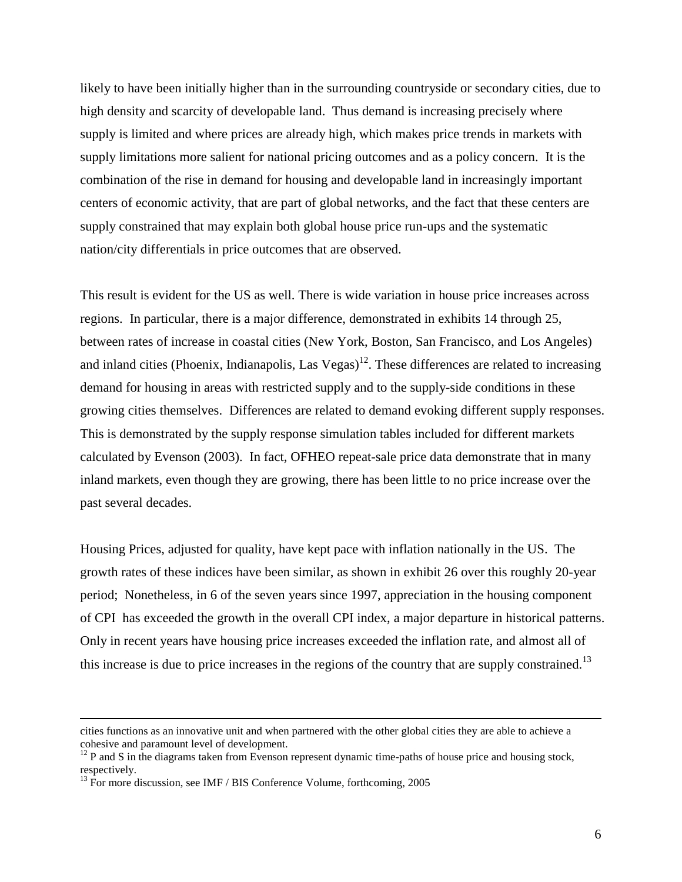likely to have been initially higher than in the surrounding countryside or secondary cities, due to high density and scarcity of developable land. Thus demand is increasing precisely where supply is limited and where prices are already high, which makes price trends in markets with supply limitations more salient for national pricing outcomes and as a policy concern. It is the combination of the rise in demand for housing and developable land in increasingly important centers of economic activity, that are part of global networks, and the fact that these centers are supply constrained that may explain both global house price run-ups and the systematic nation/city differentials in price outcomes that are observed.

This result is evident for the US as well. There is wide variation in house price increases across regions. In particular, there is a major difference, demonstrated in exhibits 14 through 25, between rates of increase in coastal cities (New York, Boston, San Francisco, and Los Angeles) and inland cities (Phoenix, Indianapolis, Las Vegas)<sup>12</sup>. These differences are related to increasing demand for housing in areas with restricted supply and to the supply-side conditions in these growing cities themselves. Differences are related to demand evoking different supply responses. This is demonstrated by the supply response simulation tables included for different markets calculated by Evenson (2003). In fact, OFHEO repeat-sale price data demonstrate that in many inland markets, even though they are growing, there has been little to no price increase over the past several decades.

Housing Prices, adjusted for quality, have kept pace with inflation nationally in the US. The growth rates of these indices have been similar, as shown in exhibit 26 over this roughly 20-year period; Nonetheless, in 6 of the seven years since 1997, appreciation in the housing component of CPI has exceeded the growth in the overall CPI index, a major departure in historical patterns. Only in recent years have housing price increases exceeded the inflation rate, and almost all of this increase is due to price increases in the regions of the country that are supply constrained.<sup>13</sup>

cities functions as an innovative unit and when partnered with the other global cities they are able to achieve a cohesive and paramount level of development.

<sup>&</sup>lt;sup>12</sup> P and S in the diagrams taken from Evenson represent dynamic time-paths of house price and housing stock, respectively.

 $^{13}$  For more discussion, see IMF / BIS Conference Volume, forthcoming, 2005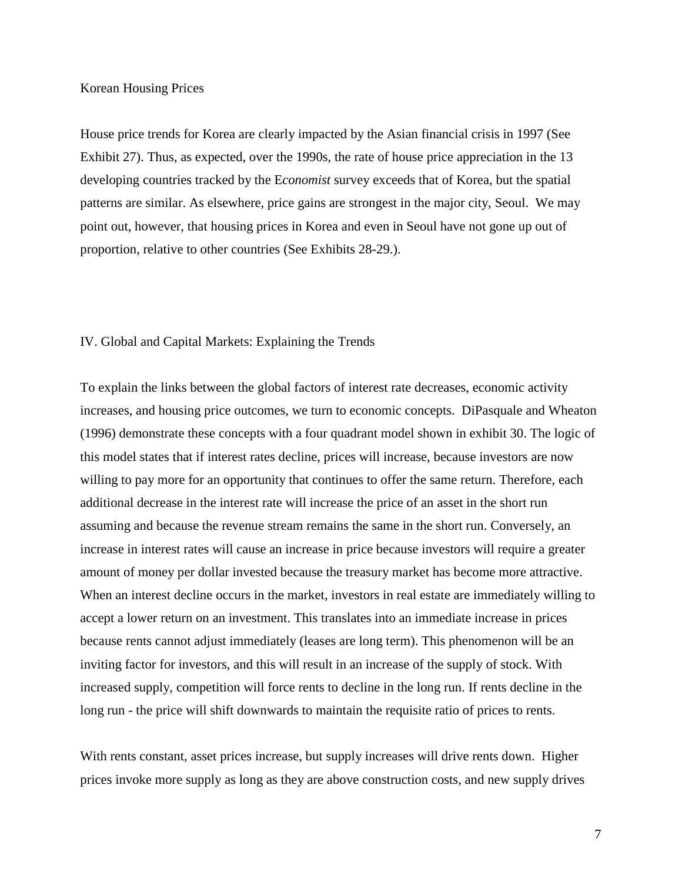## Korean Housing Prices

House price trends for Korea are clearly impacted by the Asian financial crisis in 1997 (See Exhibit 27). Thus, as expected, over the 1990s, the rate of house price appreciation in the 13 developing countries tracked by the E*conomist* survey exceeds that of Korea, but the spatial patterns are similar. As elsewhere, price gains are strongest in the major city, Seoul. We may point out, however, that housing prices in Korea and even in Seoul have not gone up out of proportion, relative to other countries (See Exhibits 28-29.).

#### IV. Global and Capital Markets: Explaining the Trends

To explain the links between the global factors of interest rate decreases, economic activity increases, and housing price outcomes, we turn to economic concepts. DiPasquale and Wheaton (1996) demonstrate these concepts with a four quadrant model shown in exhibit 30. The logic of this model states that if interest rates decline, prices will increase, because investors are now willing to pay more for an opportunity that continues to offer the same return. Therefore, each additional decrease in the interest rate will increase the price of an asset in the short run assuming and because the revenue stream remains the same in the short run. Conversely, an increase in interest rates will cause an increase in price because investors will require a greater amount of money per dollar invested because the treasury market has become more attractive. When an interest decline occurs in the market, investors in real estate are immediately willing to accept a lower return on an investment. This translates into an immediate increase in prices because rents cannot adjust immediately (leases are long term). This phenomenon will be an inviting factor for investors, and this will result in an increase of the supply of stock. With increased supply, competition will force rents to decline in the long run. If rents decline in the long run - the price will shift downwards to maintain the requisite ratio of prices to rents.

With rents constant, asset prices increase, but supply increases will drive rents down. Higher prices invoke more supply as long as they are above construction costs, and new supply drives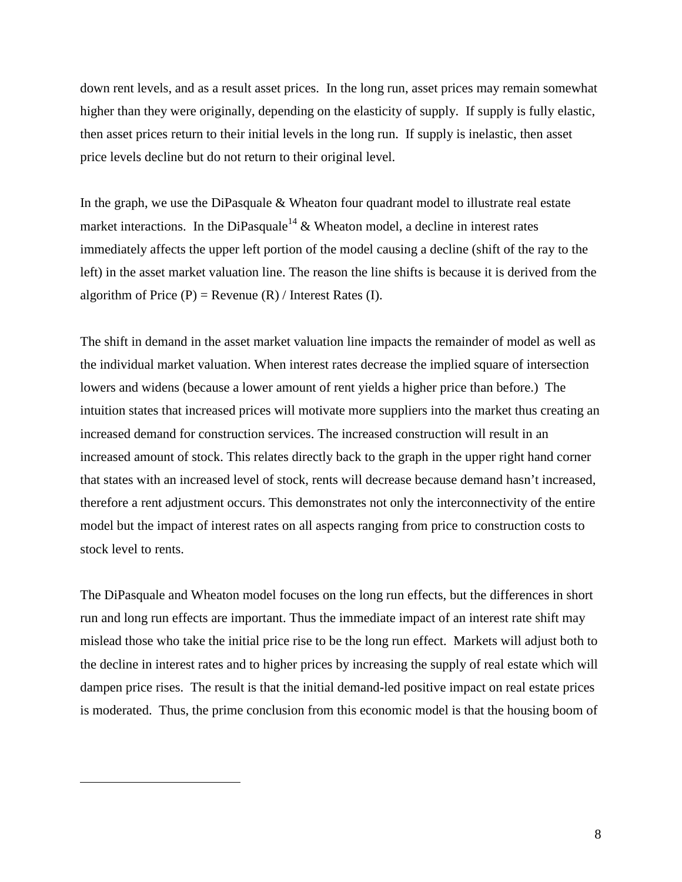down rent levels, and as a result asset prices. In the long run, asset prices may remain somewhat higher than they were originally, depending on the elasticity of supply. If supply is fully elastic, then asset prices return to their initial levels in the long run. If supply is inelastic, then asset price levels decline but do not return to their original level.

In the graph, we use the DiPasquale & Wheaton four quadrant model to illustrate real estate market interactions. In the DiPasquale<sup>14</sup>  $\&$  Wheaton model, a decline in interest rates immediately affects the upper left portion of the model causing a decline (shift of the ray to the left) in the asset market valuation line. The reason the line shifts is because it is derived from the algorithm of Price  $(P)$  = Revenue  $(R)$  / Interest Rates  $(I)$ .

The shift in demand in the asset market valuation line impacts the remainder of model as well as the individual market valuation. When interest rates decrease the implied square of intersection lowers and widens (because a lower amount of rent yields a higher price than before.) The intuition states that increased prices will motivate more suppliers into the market thus creating an increased demand for construction services. The increased construction will result in an increased amount of stock. This relates directly back to the graph in the upper right hand corner that states with an increased level of stock, rents will decrease because demand hasn't increased, therefore a rent adjustment occurs. This demonstrates not only the interconnectivity of the entire model but the impact of interest rates on all aspects ranging from price to construction costs to stock level to rents.

The DiPasquale and Wheaton model focuses on the long run effects, but the differences in short run and long run effects are important. Thus the immediate impact of an interest rate shift may mislead those who take the initial price rise to be the long run effect. Markets will adjust both to the decline in interest rates and to higher prices by increasing the supply of real estate which will dampen price rises. The result is that the initial demand-led positive impact on real estate prices is moderated. Thus, the prime conclusion from this economic model is that the housing boom of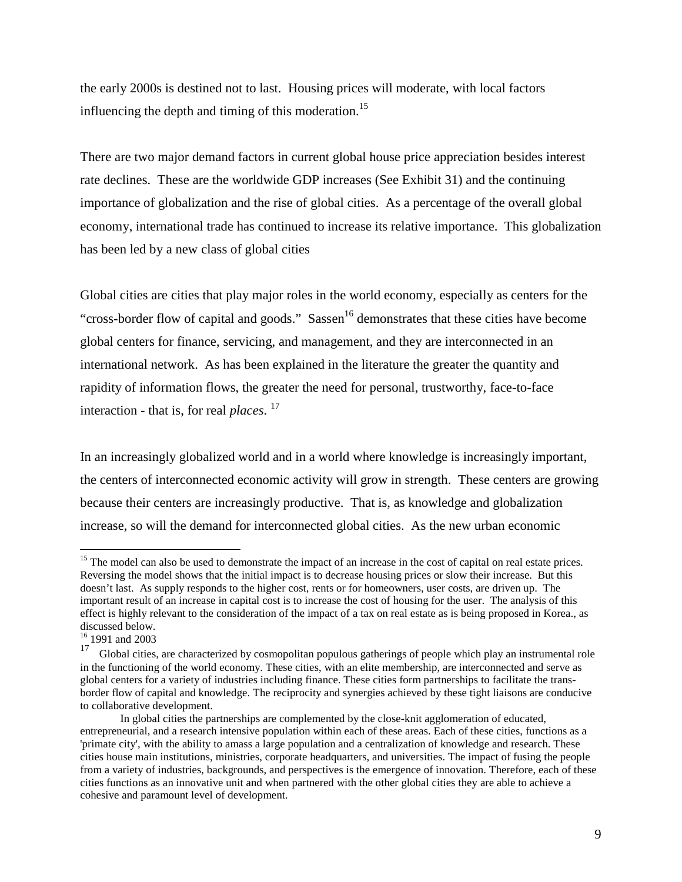the early 2000s is destined not to last. Housing prices will moderate, with local factors influencing the depth and timing of this moderation.<sup>15</sup>

There are two major demand factors in current global house price appreciation besides interest rate declines. These are the worldwide GDP increases (See Exhibit 31) and the continuing importance of globalization and the rise of global cities. As a percentage of the overall global economy, international trade has continued to increase its relative importance. This globalization has been led by a new class of global cities

Global cities are cities that play major roles in the world economy, especially as centers for the "cross-border flow of capital and goods." Sassen<sup>16</sup> demonstrates that these cities have become global centers for finance, servicing, and management, and they are interconnected in an international network. As has been explained in the literature the greater the quantity and rapidity of information flows, the greater the need for personal, trustworthy, face-to-face interaction - that is, for real *places*.<sup>17</sup>

In an increasingly globalized world and in a world where knowledge is increasingly important, the centers of interconnected economic activity will grow in strength. These centers are growing because their centers are increasingly productive. That is, as knowledge and globalization increase, so will the demand for interconnected global cities. As the new urban economic

<sup>&</sup>lt;sup>15</sup> The model can also be used to demonstrate the impact of an increase in the cost of capital on real estate prices. Reversing the model shows that the initial impact is to decrease housing prices or slow their increase. But this doesn't last. As supply responds to the higher cost, rents or for homeowners, user costs, are driven up. The important result of an increase in capital cost is to increase the cost of housing for the user. The analysis of this effect is highly relevant to the consideration of the impact of a tax on real estate as is being proposed in Korea., as discussed below.

 $\frac{16}{17}$  1991 and 2003

Global cities, are characterized by cosmopolitan populous gatherings of people which play an instrumental role in the functioning of the world economy. These cities, with an elite membership, are interconnected and serve as global centers for a variety of industries including finance. These cities form partnerships to facilitate the transborder flow of capital and knowledge. The reciprocity and synergies achieved by these tight liaisons are conducive to collaborative development.

In global cities the partnerships are complemented by the close-knit agglomeration of educated, entrepreneurial, and a research intensive population within each of these areas. Each of these cities, functions as a 'primate city', with the ability to amass a large population and a centralization of knowledge and research. These cities house main institutions, ministries, corporate headquarters, and universities. The impact of fusing the people from a variety of industries, backgrounds, and perspectives is the emergence of innovation. Therefore, each of these cities functions as an innovative unit and when partnered with the other global cities they are able to achieve a cohesive and paramount level of development.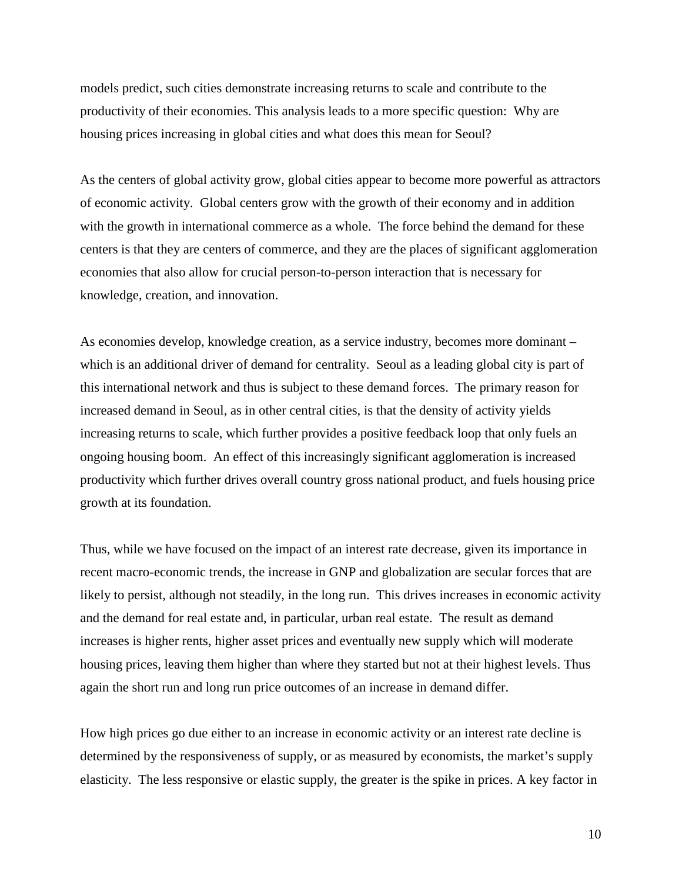models predict, such cities demonstrate increasing returns to scale and contribute to the productivity of their economies. This analysis leads to a more specific question: Why are housing prices increasing in global cities and what does this mean for Seoul?

As the centers of global activity grow, global cities appear to become more powerful as attractors of economic activity. Global centers grow with the growth of their economy and in addition with the growth in international commerce as a whole. The force behind the demand for these centers is that they are centers of commerce, and they are the places of significant agglomeration economies that also allow for crucial person-to-person interaction that is necessary for knowledge, creation, and innovation.

As economies develop, knowledge creation, as a service industry, becomes more dominant – which is an additional driver of demand for centrality. Seoul as a leading global city is part of this international network and thus is subject to these demand forces. The primary reason for increased demand in Seoul, as in other central cities, is that the density of activity yields increasing returns to scale, which further provides a positive feedback loop that only fuels an ongoing housing boom. An effect of this increasingly significant agglomeration is increased productivity which further drives overall country gross national product, and fuels housing price growth at its foundation.

Thus, while we have focused on the impact of an interest rate decrease, given its importance in recent macro-economic trends, the increase in GNP and globalization are secular forces that are likely to persist, although not steadily, in the long run. This drives increases in economic activity and the demand for real estate and, in particular, urban real estate. The result as demand increases is higher rents, higher asset prices and eventually new supply which will moderate housing prices, leaving them higher than where they started but not at their highest levels. Thus again the short run and long run price outcomes of an increase in demand differ.

How high prices go due either to an increase in economic activity or an interest rate decline is determined by the responsiveness of supply, or as measured by economists, the market's supply elasticity. The less responsive or elastic supply, the greater is the spike in prices. A key factor in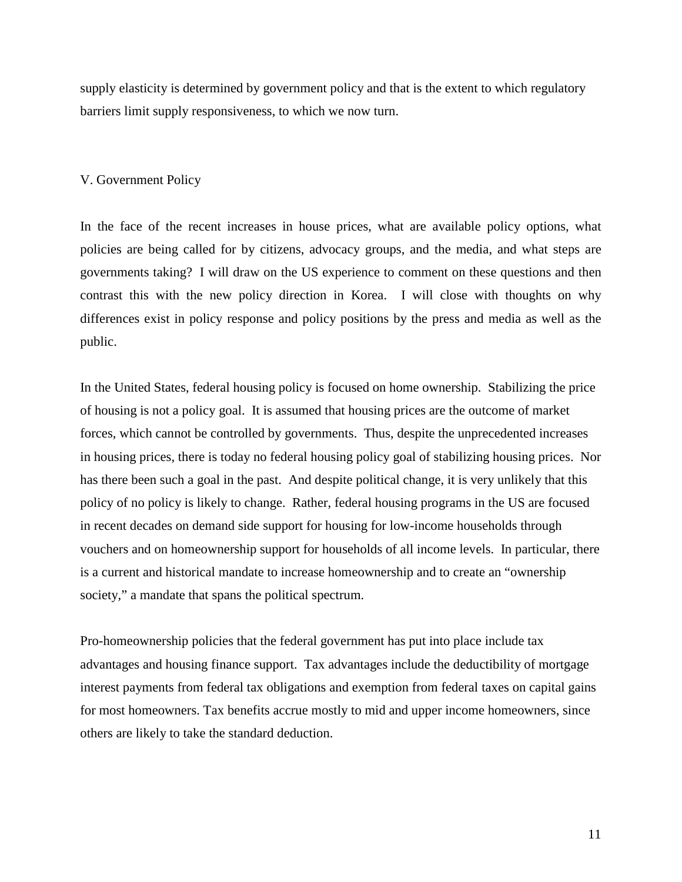supply elasticity is determined by government policy and that is the extent to which regulatory barriers limit supply responsiveness, to which we now turn.

### V. Government Policy

In the face of the recent increases in house prices, what are available policy options, what policies are being called for by citizens, advocacy groups, and the media, and what steps are governments taking? I will draw on the US experience to comment on these questions and then contrast this with the new policy direction in Korea. I will close with thoughts on why differences exist in policy response and policy positions by the press and media as well as the public.

In the United States, federal housing policy is focused on home ownership. Stabilizing the price of housing is not a policy goal. It is assumed that housing prices are the outcome of market forces, which cannot be controlled by governments. Thus, despite the unprecedented increases in housing prices, there is today no federal housing policy goal of stabilizing housing prices. Nor has there been such a goal in the past. And despite political change, it is very unlikely that this policy of no policy is likely to change. Rather, federal housing programs in the US are focused in recent decades on demand side support for housing for low-income households through vouchers and on homeownership support for households of all income levels. In particular, there is a current and historical mandate to increase homeownership and to create an "ownership society," a mandate that spans the political spectrum.

Pro-homeownership policies that the federal government has put into place include tax advantages and housing finance support. Tax advantages include the deductibility of mortgage interest payments from federal tax obligations and exemption from federal taxes on capital gains for most homeowners. Tax benefits accrue mostly to mid and upper income homeowners, since others are likely to take the standard deduction.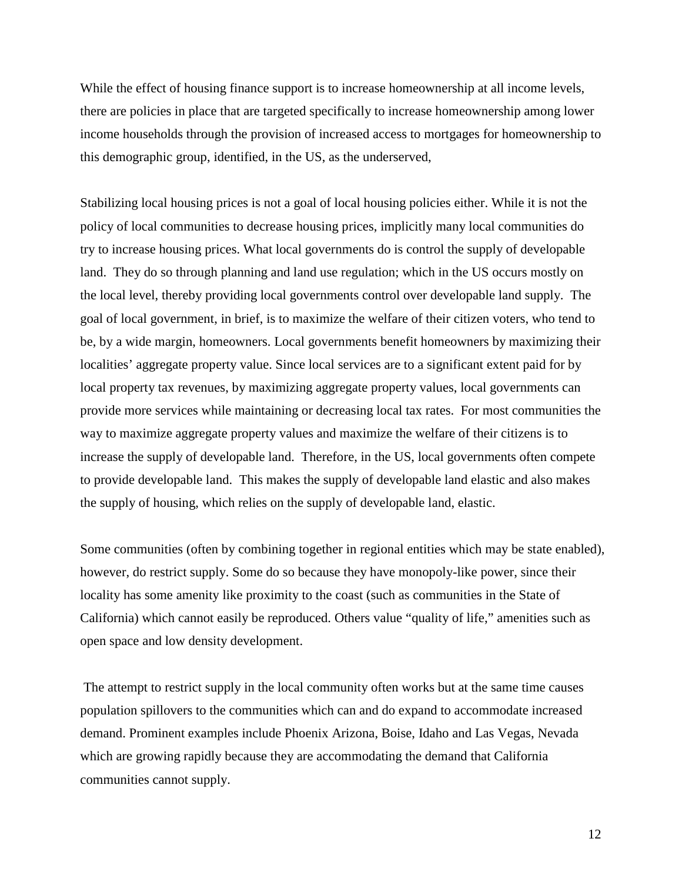While the effect of housing finance support is to increase homeownership at all income levels, there are policies in place that are targeted specifically to increase homeownership among lower income households through the provision of increased access to mortgages for homeownership to this demographic group, identified, in the US, as the underserved,

Stabilizing local housing prices is not a goal of local housing policies either. While it is not the policy of local communities to decrease housing prices, implicitly many local communities do try to increase housing prices. What local governments do is control the supply of developable land. They do so through planning and land use regulation; which in the US occurs mostly on the local level, thereby providing local governments control over developable land supply. The goal of local government, in brief, is to maximize the welfare of their citizen voters, who tend to be, by a wide margin, homeowners. Local governments benefit homeowners by maximizing their localities' aggregate property value. Since local services are to a significant extent paid for by local property tax revenues, by maximizing aggregate property values, local governments can provide more services while maintaining or decreasing local tax rates. For most communities the way to maximize aggregate property values and maximize the welfare of their citizens is to increase the supply of developable land. Therefore, in the US, local governments often compete to provide developable land. This makes the supply of developable land elastic and also makes the supply of housing, which relies on the supply of developable land, elastic.

Some communities (often by combining together in regional entities which may be state enabled), however, do restrict supply. Some do so because they have monopoly-like power, since their locality has some amenity like proximity to the coast (such as communities in the State of California) which cannot easily be reproduced. Others value "quality of life," amenities such as open space and low density development.

 The attempt to restrict supply in the local community often works but at the same time causes population spillovers to the communities which can and do expand to accommodate increased demand. Prominent examples include Phoenix Arizona, Boise, Idaho and Las Vegas, Nevada which are growing rapidly because they are accommodating the demand that California communities cannot supply.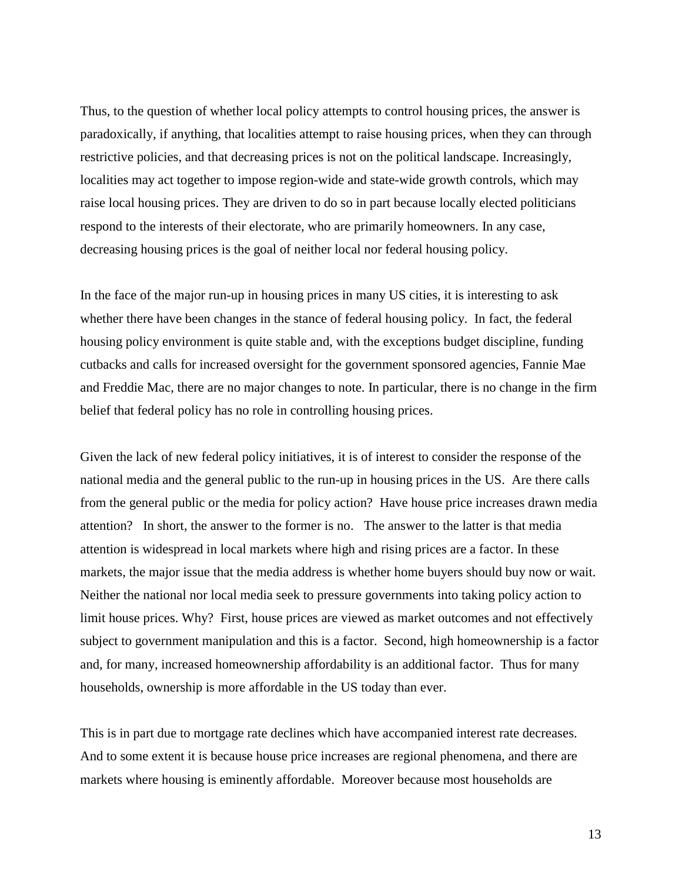Thus, to the question of whether local policy attempts to control housing prices, the answer is paradoxically, if anything, that localities attempt to raise housing prices, when they can through restrictive policies, and that decreasing prices is not on the political landscape. Increasingly, localities may act together to impose region-wide and state-wide growth controls, which may raise local housing prices. They are driven to do so in part because locally elected politicians respond to the interests of their electorate, who are primarily homeowners. In any case, decreasing housing prices is the goal of neither local nor federal housing policy.

In the face of the major run-up in housing prices in many US cities, it is interesting to ask whether there have been changes in the stance of federal housing policy. In fact, the federal housing policy environment is quite stable and, with the exceptions budget discipline, funding cutbacks and calls for increased oversight for the government sponsored agencies, Fannie Mae and Freddie Mac, there are no major changes to note. In particular, there is no change in the firm belief that federal policy has no role in controlling housing prices.

Given the lack of new federal policy initiatives, it is of interest to consider the response of the national media and the general public to the run-up in housing prices in the US. Are there calls from the general public or the media for policy action? Have house price increases drawn media attention? In short, the answer to the former is no. The answer to the latter is that media attention is widespread in local markets where high and rising prices are a factor. In these markets, the major issue that the media address is whether home buyers should buy now or wait. Neither the national nor local media seek to pressure governments into taking policy action to limit house prices. Why? First, house prices are viewed as market outcomes and not effectively subject to government manipulation and this is a factor. Second, high homeownership is a factor and, for many, increased homeownership affordability is an additional factor. Thus for many households, ownership is more affordable in the US today than ever.

This is in part due to mortgage rate declines which have accompanied interest rate decreases. And to some extent it is because house price increases are regional phenomena, and there are markets where housing is eminently affordable. Moreover because most households are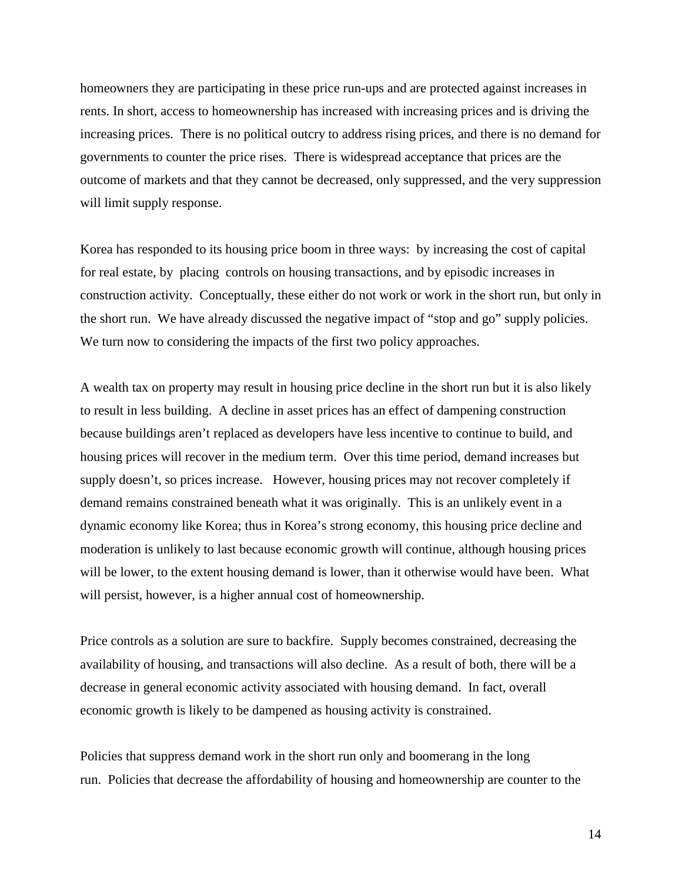homeowners they are participating in these price run-ups and are protected against increases in rents. In short, access to homeownership has increased with increasing prices and is driving the increasing prices. There is no political outcry to address rising prices, and there is no demand for governments to counter the price rises. There is widespread acceptance that prices are the outcome of markets and that they cannot be decreased, only suppressed, and the very suppression will limit supply response.

Korea has responded to its housing price boom in three ways: by increasing the cost of capital for real estate, by placing controls on housing transactions, and by episodic increases in construction activity. Conceptually, these either do not work or work in the short run, but only in the short run. We have already discussed the negative impact of "stop and go" supply policies. We turn now to considering the impacts of the first two policy approaches.

A wealth tax on property may result in housing price decline in the short run but it is also likely to result in less building. A decline in asset prices has an effect of dampening construction because buildings aren't replaced as developers have less incentive to continue to build, and housing prices will recover in the medium term. Over this time period, demand increases but supply doesn't, so prices increase. However, housing prices may not recover completely if demand remains constrained beneath what it was originally. This is an unlikely event in a dynamic economy like Korea; thus in Korea's strong economy, this housing price decline and moderation is unlikely to last because economic growth will continue, although housing prices will be lower, to the extent housing demand is lower, than it otherwise would have been. What will persist, however, is a higher annual cost of homeownership.

Price controls as a solution are sure to backfire. Supply becomes constrained, decreasing the availability of housing, and transactions will also decline. As a result of both, there will be a decrease in general economic activity associated with housing demand. In fact, overall economic growth is likely to be dampened as housing activity is constrained.

Policies that suppress demand work in the short run only and boomerang in the long run. Policies that decrease the affordability of housing and homeownership are counter to the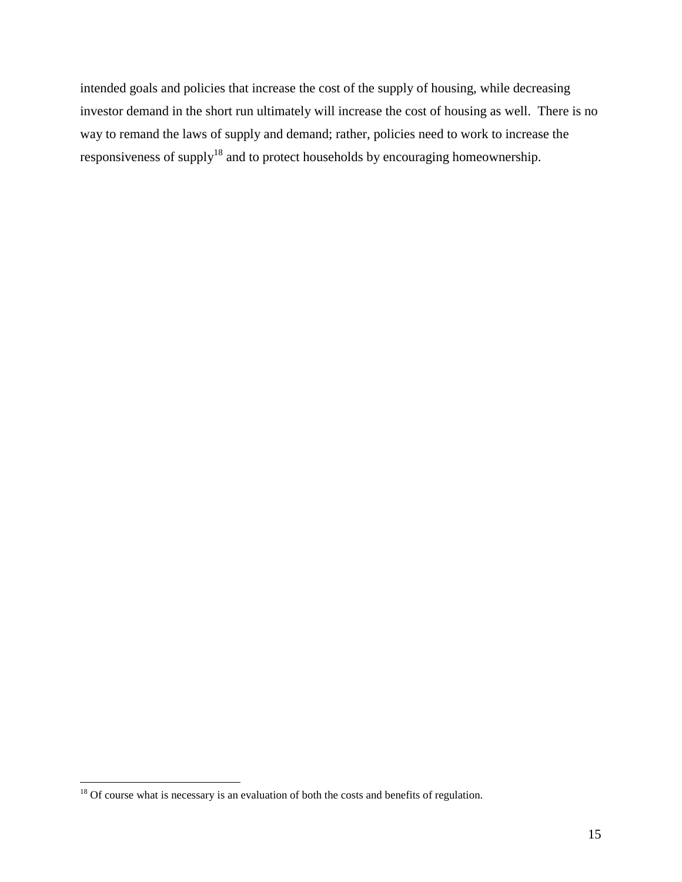intended goals and policies that increase the cost of the supply of housing, while decreasing investor demand in the short run ultimately will increase the cost of housing as well. There is no way to remand the laws of supply and demand; rather, policies need to work to increase the responsiveness of supply<sup>18</sup> and to protect households by encouraging homeownership.

 $18$  Of course what is necessary is an evaluation of both the costs and benefits of regulation.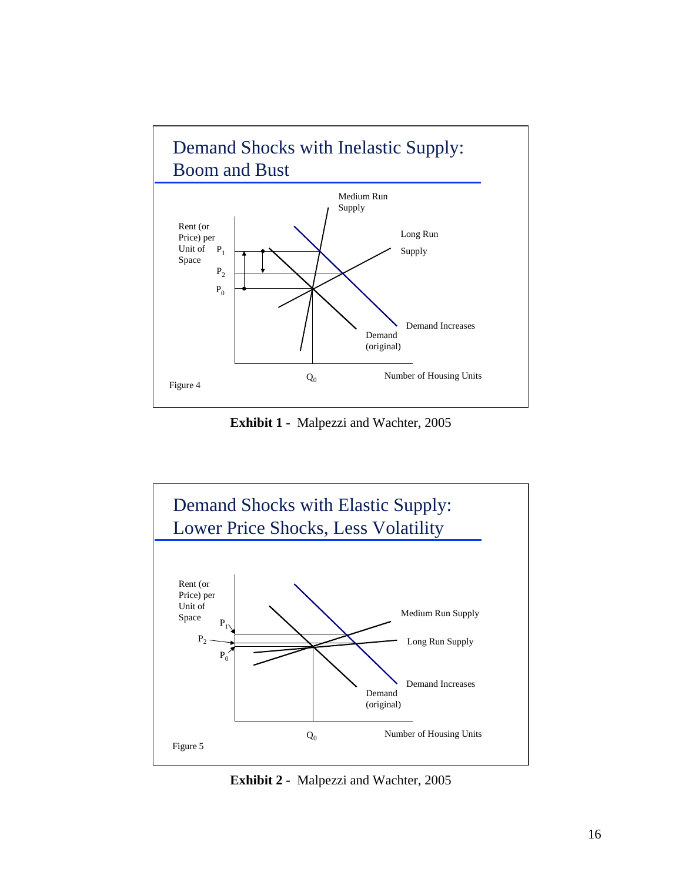

**Exhibit 1 -** Malpezzi and Wachter, 2005



**Exhibit 2 -** Malpezzi and Wachter, 2005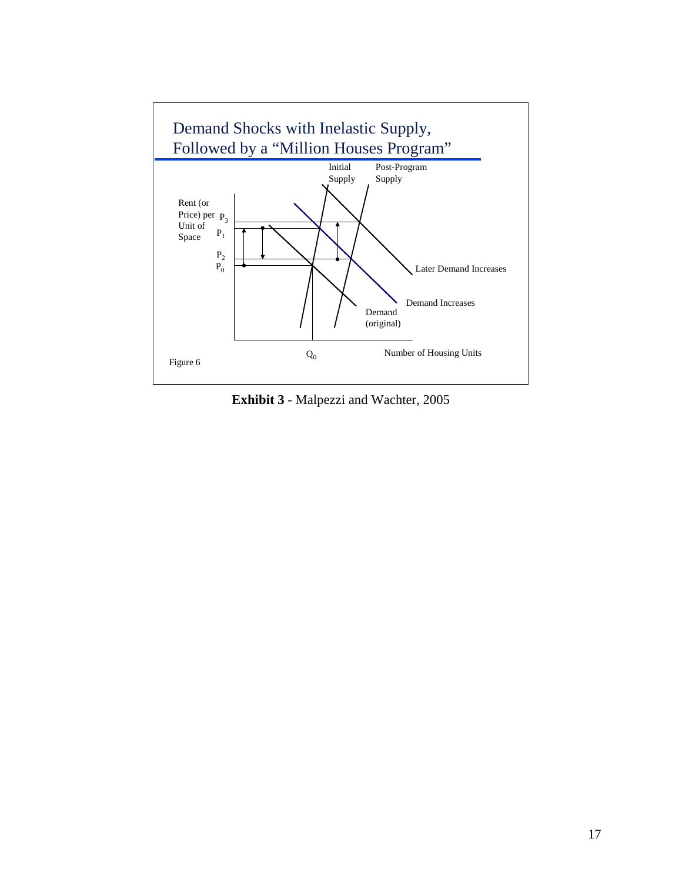

**Exhibit 3** - Malpezzi and Wachter, 2005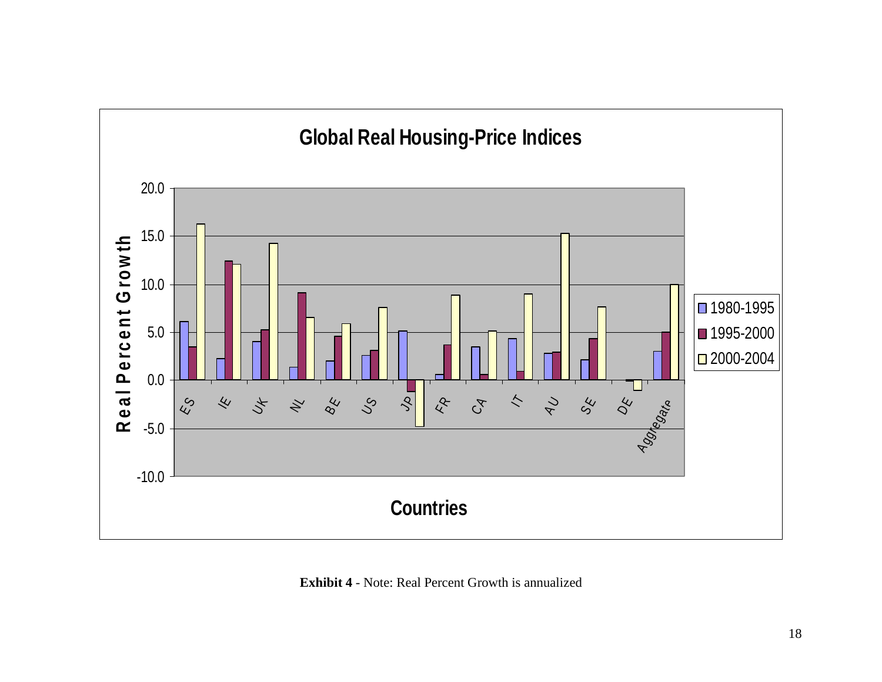

**Exhibit 4** - Note: Real Percent Growth is annualized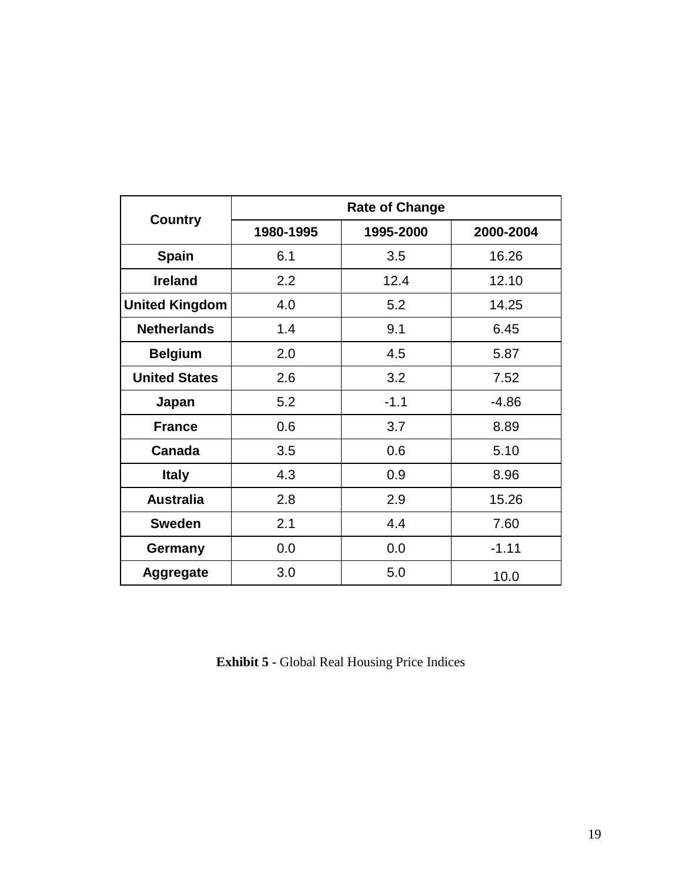|                       | <b>Rate of Change</b> |           |           |  |  |  |  |  |  |  |
|-----------------------|-----------------------|-----------|-----------|--|--|--|--|--|--|--|
| <b>Country</b>        | 1980-1995             | 1995-2000 | 2000-2004 |  |  |  |  |  |  |  |
| <b>Spain</b>          | 6.1                   | 3.5       | 16.26     |  |  |  |  |  |  |  |
| <b>Ireland</b>        | 2.2                   | 12.4      | 12.10     |  |  |  |  |  |  |  |
| <b>United Kingdom</b> | 4.0                   | 5.2       | 14.25     |  |  |  |  |  |  |  |
| <b>Netherlands</b>    | 1.4                   | 9.1       | 6.45      |  |  |  |  |  |  |  |
| <b>Belgium</b>        | 2.0                   | 4.5       | 5.87      |  |  |  |  |  |  |  |
| <b>United States</b>  | 2.6                   | 3.2       | 7.52      |  |  |  |  |  |  |  |
| Japan                 | 5.2                   | $-1.1$    | $-4.86$   |  |  |  |  |  |  |  |
| <b>France</b>         | 0.6                   | 3.7       | 8.89      |  |  |  |  |  |  |  |
| Canada                | 3.5                   | 0.6       | 5.10      |  |  |  |  |  |  |  |
| <b>Italy</b>          | 4.3                   | 0.9       | 8.96      |  |  |  |  |  |  |  |
| <b>Australia</b>      | 2.8                   | 2.9       | 15.26     |  |  |  |  |  |  |  |
| <b>Sweden</b>         | 2.1                   | 4.4       | 7.60      |  |  |  |  |  |  |  |
| Germany               | 0.0                   | 0.0       | $-1.11$   |  |  |  |  |  |  |  |
| <b>Aggregate</b>      | 3.0                   | 5.0       | 10.0      |  |  |  |  |  |  |  |

**Exhibit 5 -** Global Real Housing Price Indices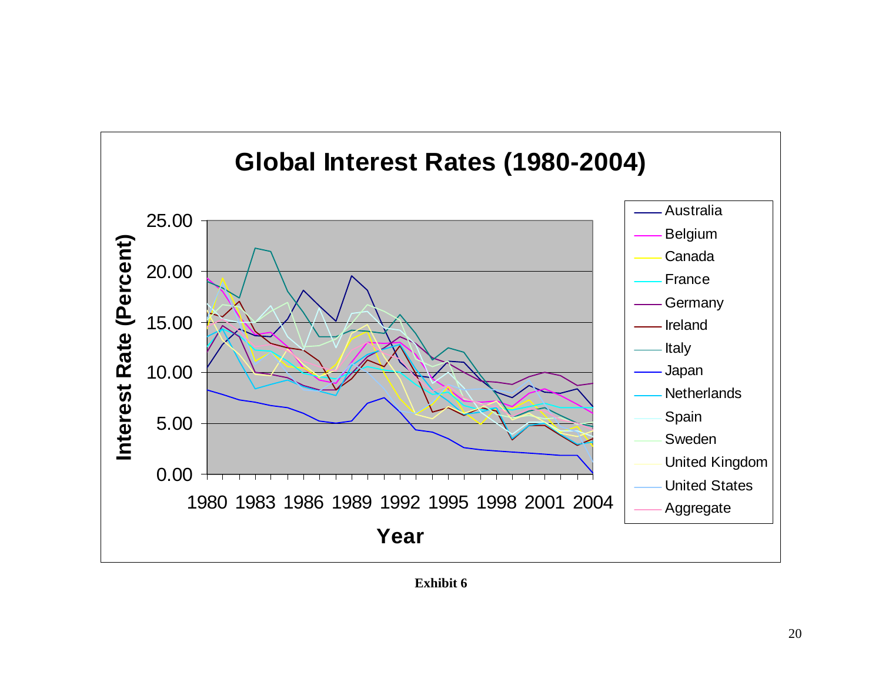

**Exhibit 6**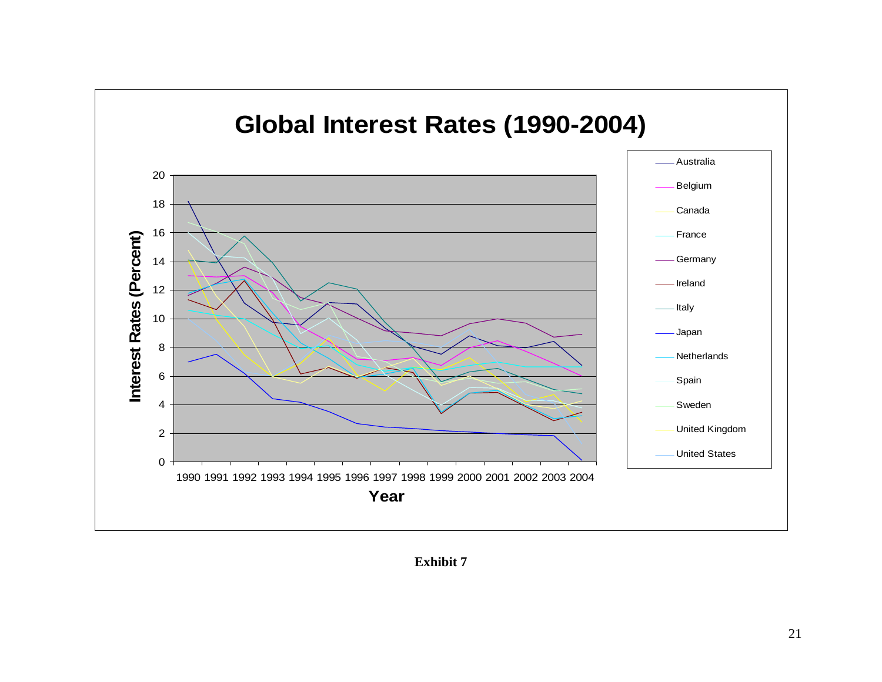

**Exhibit 7**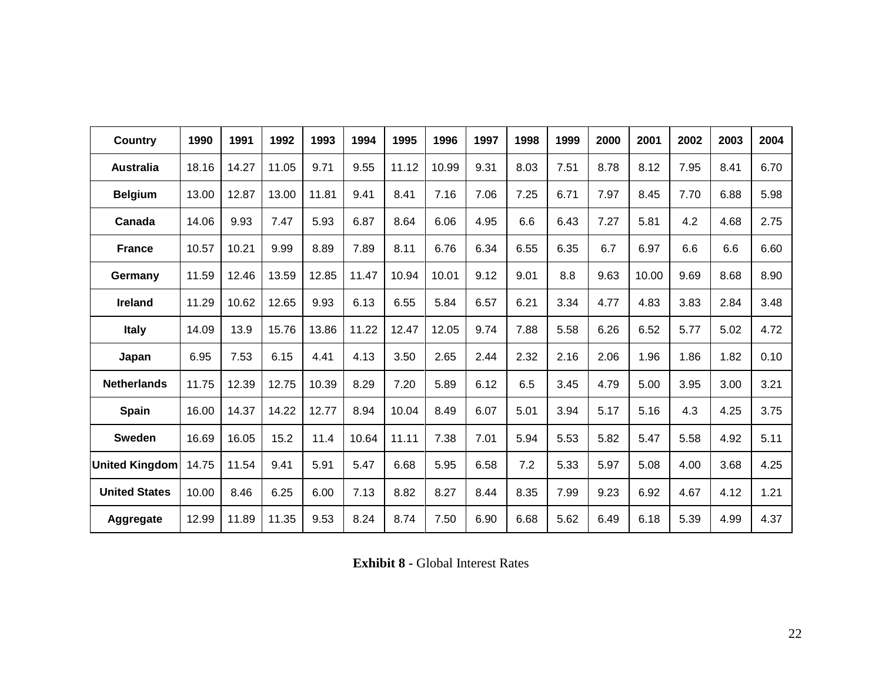| <b>Country</b>       | 1990  | 1991  | 1992  | 1993  | 1994  | 1995  | 1996  | 1997 | 1998 | 1999 | 2000 | 2001  | 2002 | 2003 | 2004 |
|----------------------|-------|-------|-------|-------|-------|-------|-------|------|------|------|------|-------|------|------|------|
| <b>Australia</b>     | 18.16 | 14.27 | 11.05 | 9.71  | 9.55  | 11.12 | 10.99 | 9.31 | 8.03 | 7.51 | 8.78 | 8.12  | 7.95 | 8.41 | 6.70 |
| <b>Belgium</b>       | 13.00 | 12.87 | 13.00 | 11.81 | 9.41  | 8.41  | 7.16  | 7.06 | 7.25 | 6.71 | 7.97 | 8.45  | 7.70 | 6.88 | 5.98 |
| Canada               | 14.06 | 9.93  | 7.47  | 5.93  | 6.87  | 8.64  | 6.06  | 4.95 | 6.6  | 6.43 | 7.27 | 5.81  | 4.2  | 4.68 | 2.75 |
| <b>France</b>        | 10.57 | 10.21 | 9.99  | 8.89  | 7.89  | 8.11  | 6.76  | 6.34 | 6.55 | 6.35 | 6.7  | 6.97  | 6.6  | 6.6  | 6.60 |
| Germany              | 11.59 | 12.46 | 13.59 | 12.85 | 11.47 | 10.94 | 10.01 | 9.12 | 9.01 | 8.8  | 9.63 | 10.00 | 9.69 | 8.68 | 8.90 |
| Ireland              | 11.29 | 10.62 | 12.65 | 9.93  | 6.13  | 6.55  | 5.84  | 6.57 | 6.21 | 3.34 | 4.77 | 4.83  | 3.83 | 2.84 | 3.48 |
| <b>Italy</b>         | 14.09 | 13.9  | 15.76 | 13.86 | 11.22 | 12.47 | 12.05 | 9.74 | 7.88 | 5.58 | 6.26 | 6.52  | 5.77 | 5.02 | 4.72 |
| Japan                | 6.95  | 7.53  | 6.15  | 4.41  | 4.13  | 3.50  | 2.65  | 2.44 | 2.32 | 2.16 | 2.06 | 1.96  | 1.86 | 1.82 | 0.10 |
| <b>Netherlands</b>   | 11.75 | 12.39 | 12.75 | 10.39 | 8.29  | 7.20  | 5.89  | 6.12 | 6.5  | 3.45 | 4.79 | 5.00  | 3.95 | 3.00 | 3.21 |
| <b>Spain</b>         | 16.00 | 14.37 | 14.22 | 12.77 | 8.94  | 10.04 | 8.49  | 6.07 | 5.01 | 3.94 | 5.17 | 5.16  | 4.3  | 4.25 | 3.75 |
| <b>Sweden</b>        | 16.69 | 16.05 | 15.2  | 11.4  | 10.64 | 11.11 | 7.38  | 7.01 | 5.94 | 5.53 | 5.82 | 5.47  | 5.58 | 4.92 | 5.11 |
| United Kingdom       | 14.75 | 11.54 | 9.41  | 5.91  | 5.47  | 6.68  | 5.95  | 6.58 | 7.2  | 5.33 | 5.97 | 5.08  | 4.00 | 3.68 | 4.25 |
| <b>United States</b> | 10.00 | 8.46  | 6.25  | 6.00  | 7.13  | 8.82  | 8.27  | 8.44 | 8.35 | 7.99 | 9.23 | 6.92  | 4.67 | 4.12 | 1.21 |
| Aggregate            | 12.99 | 11.89 | 11.35 | 9.53  | 8.24  | 8.74  | 7.50  | 6.90 | 6.68 | 5.62 | 6.49 | 6.18  | 5.39 | 4.99 | 4.37 |

**Exhibit 8 - Global Interest Rates**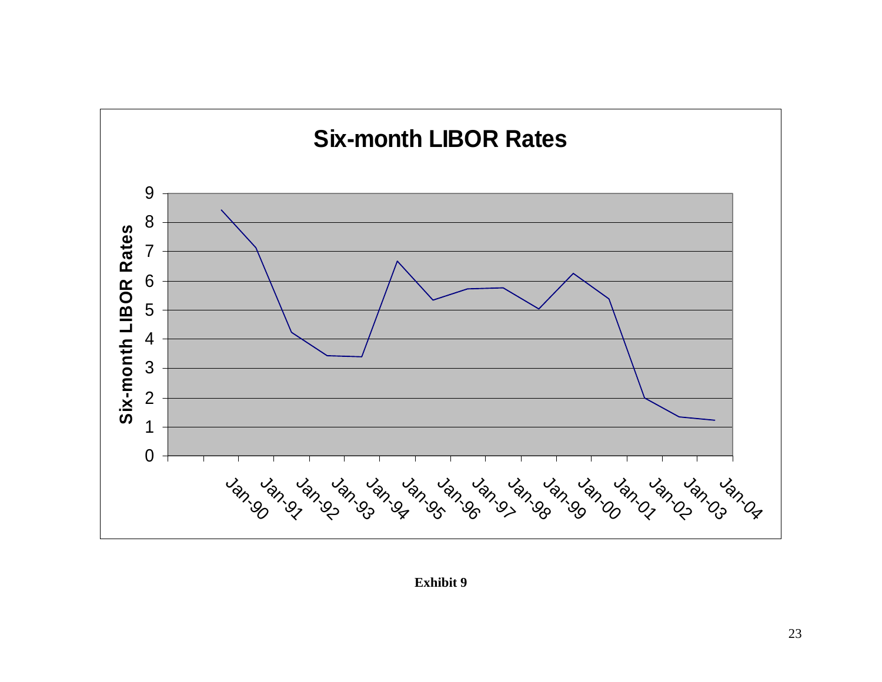

**Exhibit 9**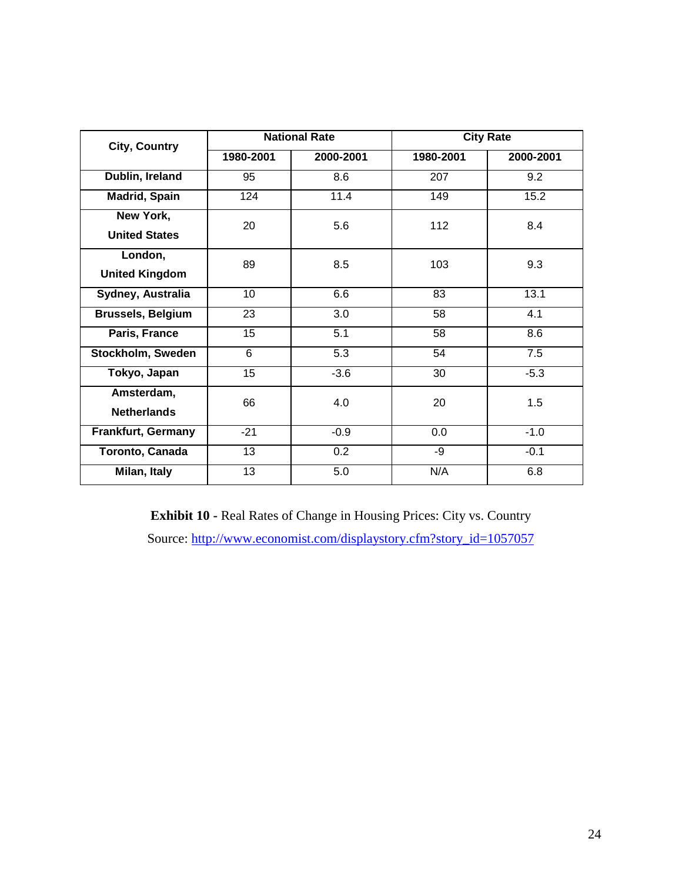| City, Country            |                 | <b>National Rate</b> | <b>City Rate</b> |           |  |  |  |
|--------------------------|-----------------|----------------------|------------------|-----------|--|--|--|
|                          | 1980-2001       | 2000-2001            | 1980-2001        | 2000-2001 |  |  |  |
| Dublin, Ireland          | 95              | 8.6                  | 207              | 9.2       |  |  |  |
| <b>Madrid, Spain</b>     | 124             | 11.4                 | 149              | 15.2      |  |  |  |
| New York,                | 20              | 5.6                  | 112              | 8.4       |  |  |  |
| <b>United States</b>     |                 |                      |                  |           |  |  |  |
| London,                  | 89              | 8.5                  | 103              | 9.3       |  |  |  |
| <b>United Kingdom</b>    |                 |                      |                  |           |  |  |  |
| Sydney, Australia        | 10 <sup>1</sup> | 6.6                  | 83               | 13.1      |  |  |  |
| <b>Brussels, Belgium</b> | 23              | 3.0                  | 58               | 4.1       |  |  |  |
| Paris, France            | 15              | 5.1                  | 58               | 8.6       |  |  |  |
| Stockholm, Sweden        | 6               | 5.3                  | 54               | 7.5       |  |  |  |
| Tokyo, Japan             | 15              | $-3.6$               | 30               | $-5.3$    |  |  |  |
| Amsterdam,               | 66              | 4.0                  | 20               | 1.5       |  |  |  |
| <b>Netherlands</b>       |                 |                      |                  |           |  |  |  |
| Frankfurt, Germany       | $-21$           | $-0.9$               | 0.0              | $-1.0$    |  |  |  |
| Toronto, Canada          | 13              | 0.2                  | -9               | $-0.1$    |  |  |  |
| Milan, Italy             | 13              | 5.0                  | N/A              | 6.8       |  |  |  |

**Exhibit 10 -** Real Rates of Change in Housing Prices: City vs. Country Source: http://www.economist.com/displaystory.cfm?story\_id=1057057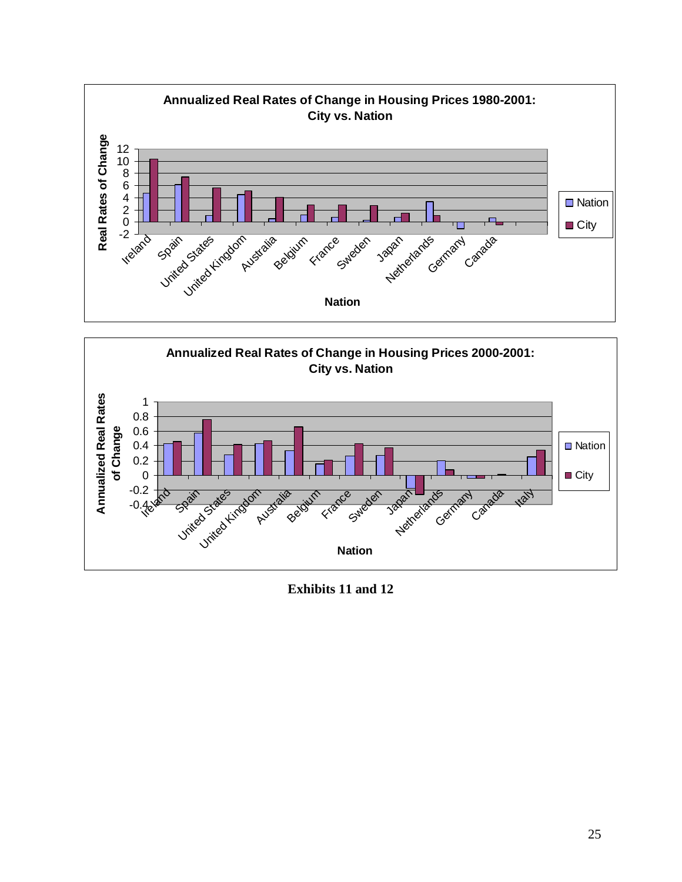



**Exhibits 11 and 12**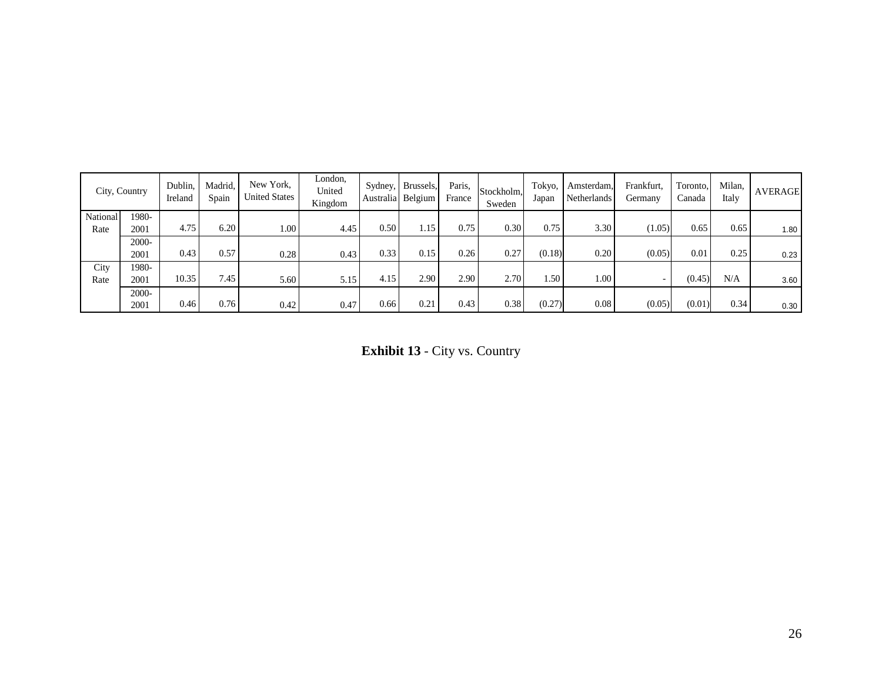|          | City, Country | Dublin,<br>Ireland | Madrid.<br>Spain | New York,<br><b>United States</b> | London,<br>United<br>Kingdom |      | Sydney, Brussels,<br>Australia Belgium | Paris,<br>France | Stockholm,<br>Sweden | Tokyo,<br>Japan  | Amsterdam,<br>Netherlands | Frankfurt,<br>Germany    | Toronto.<br>Canada | Milan,<br>Italy | <b>AVERAGE</b> |
|----------|---------------|--------------------|------------------|-----------------------------------|------------------------------|------|----------------------------------------|------------------|----------------------|------------------|---------------------------|--------------------------|--------------------|-----------------|----------------|
| National | 1980-         |                    |                  |                                   |                              |      |                                        |                  |                      |                  |                           |                          |                    |                 |                |
| Rate     | 2001          | 4.75               | 6.20             | 1.00                              | 4.45                         | 0.50 | 1.15                                   | 0.75             | 0.30                 | 0.75             | 3.30                      | (1.05)                   | 0.65               | 0.65            | 1.80           |
|          | $2000 -$      |                    |                  |                                   |                              |      |                                        |                  |                      |                  |                           |                          |                    |                 |                |
|          | 2001          | 0.43               | 0.57             | 0.28                              | 0.43                         | 0.33 | 0.15                                   | 0.26             | 0.27                 | (0.18)           | 0.20                      | (0.05)                   | 0.01               | 0.25            | 0.23           |
| City     | 1980-         |                    |                  |                                   |                              |      |                                        |                  |                      |                  |                           |                          |                    |                 |                |
| Rate     | 2001          | 10.35              | 7.45             | 5.60                              | 5.15                         | 4.15 | 2.90                                   | 2.90             | 2.70                 | .50 <sub>1</sub> | 1.00                      | $\overline{\phantom{0}}$ | (0.45)             | N/A             | 3.60           |
|          | 2000-         |                    |                  |                                   |                              |      |                                        |                  |                      |                  |                           |                          |                    |                 |                |
|          | 2001          | 0.46               | 0.76             | 0.42                              | 0.47                         | 0.66 | 0.21                                   | 0.43             | 0.38                 | (0.27)           | 0.08                      | (0.05)                   | (0.01)             | 0.34            | 0.30           |

**Exhibit 13** - City vs. Country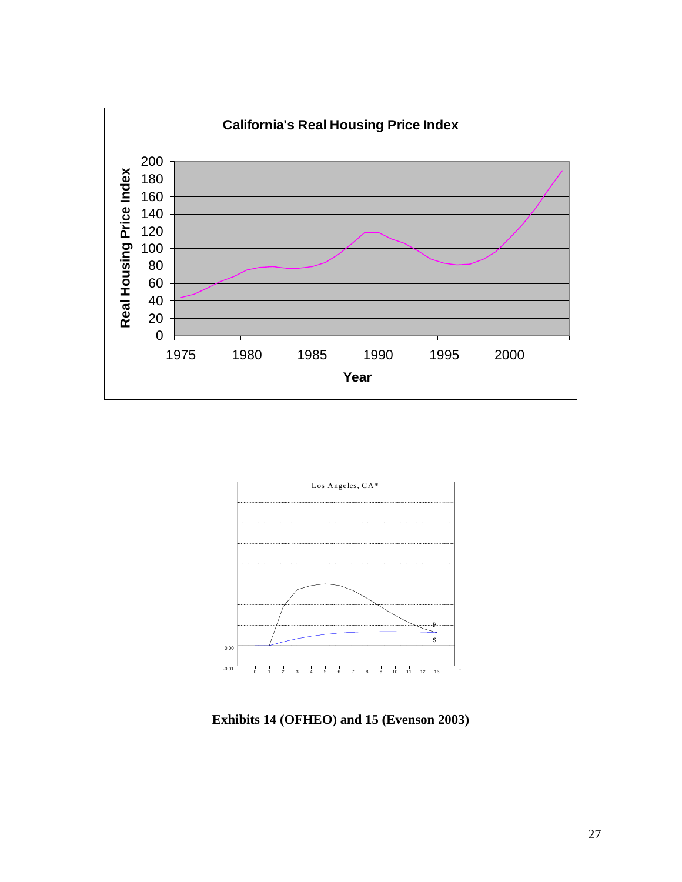



**Exhibits 14 (OFHEO) and 15 (Evenson 2003)**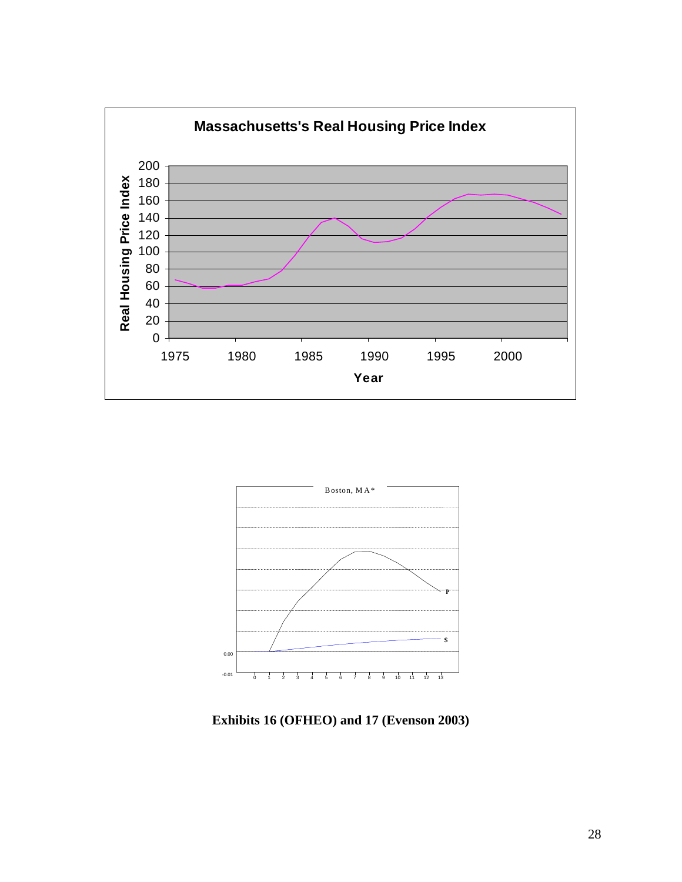



**Exhibits 16 (OFHEO) and 17 (Evenson 2003)**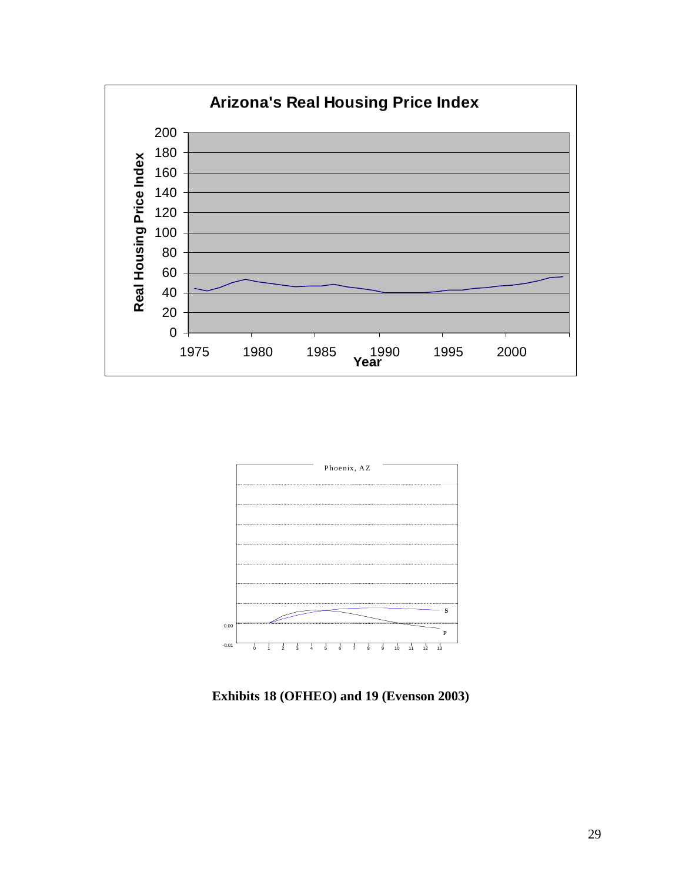



**Exhibits 18 (OFHEO) and 19 (Evenson 2003)**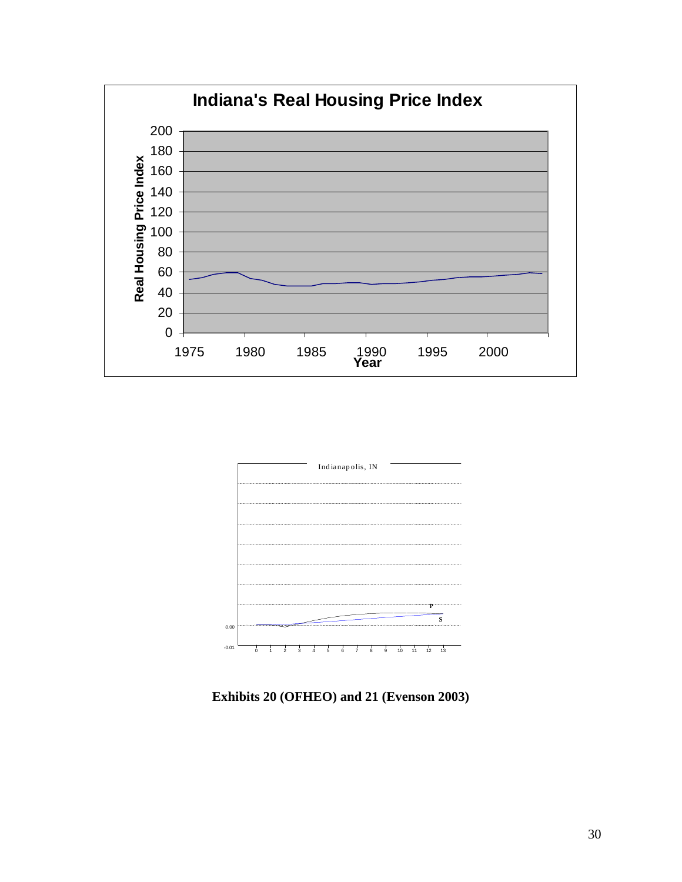



**Exhibits 20 (OFHEO) and 21 (Evenson 2003)**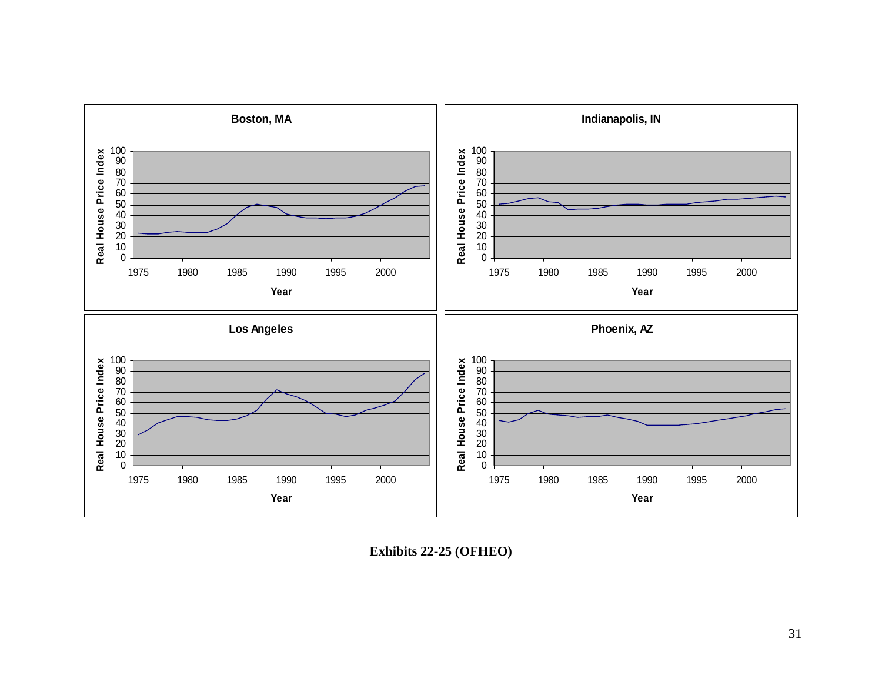

**Exhibits 22-25 (OFHEO)**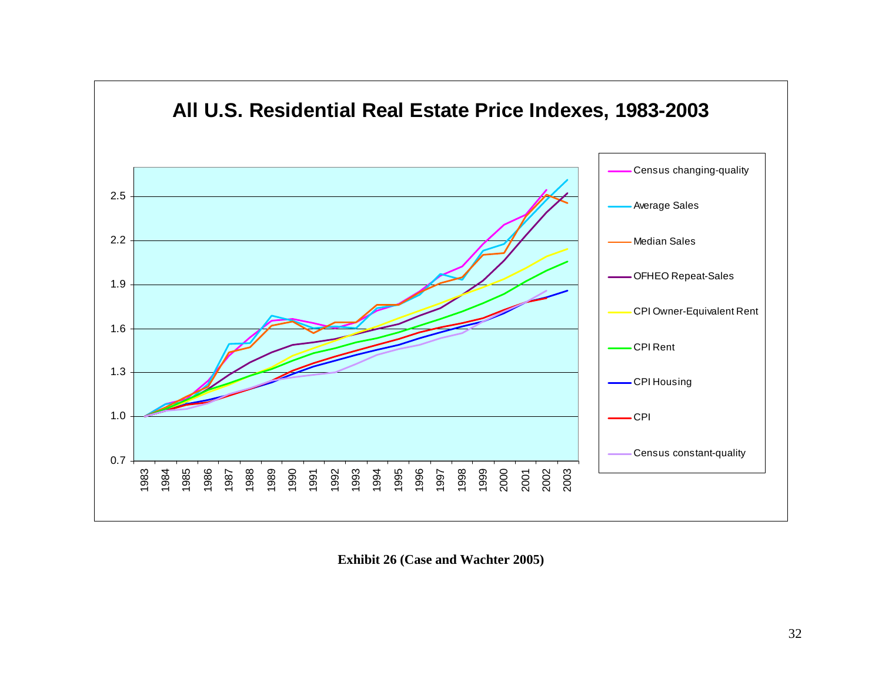

**Exhibit 26 (Case and Wachter 2005)**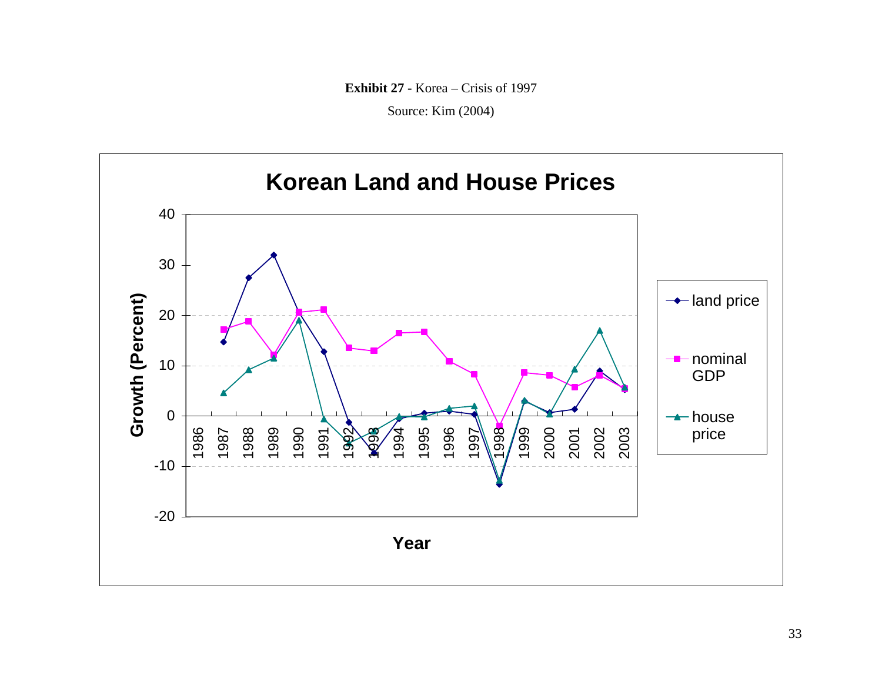**Exhibit 27 -** Korea – Crisis of 1997

Source: Kim (2004)

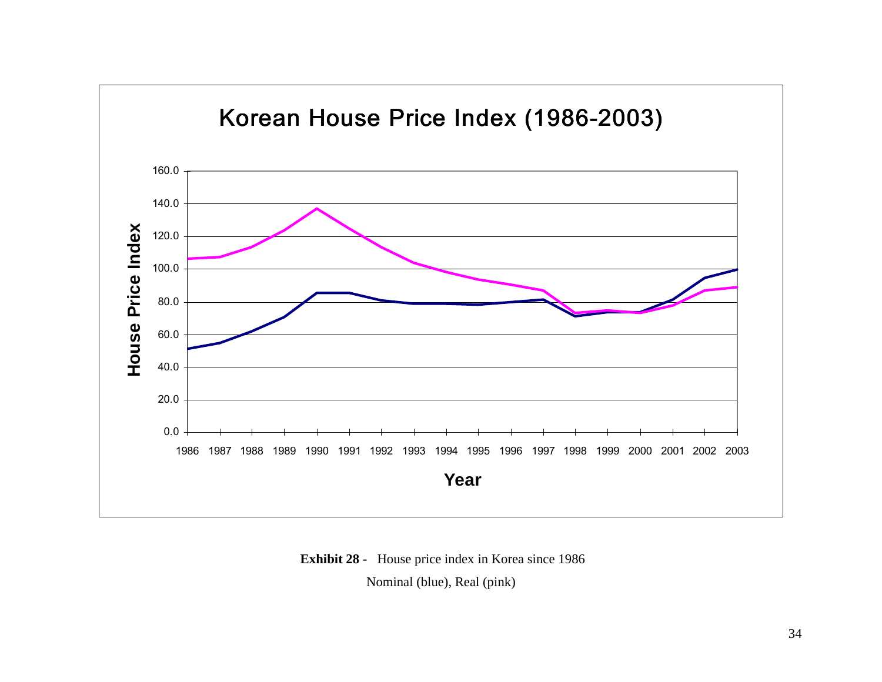

 **Exhibit 28 -** House price index in Korea since 1986

Nominal (blue), Real (pink)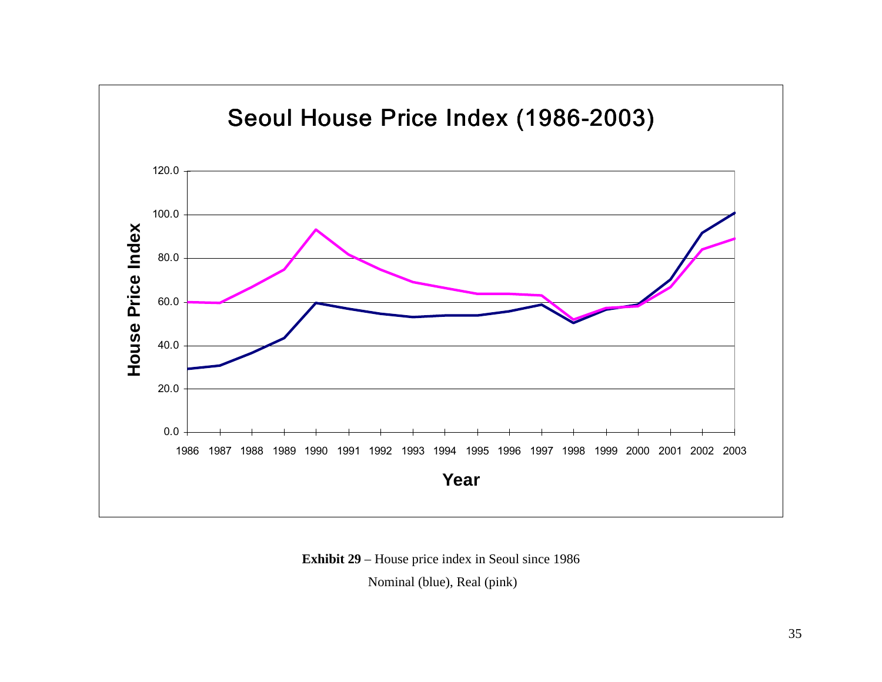

**Exhibit 29** – House price index in Seoul since 1986

Nominal (blue), Real (pink)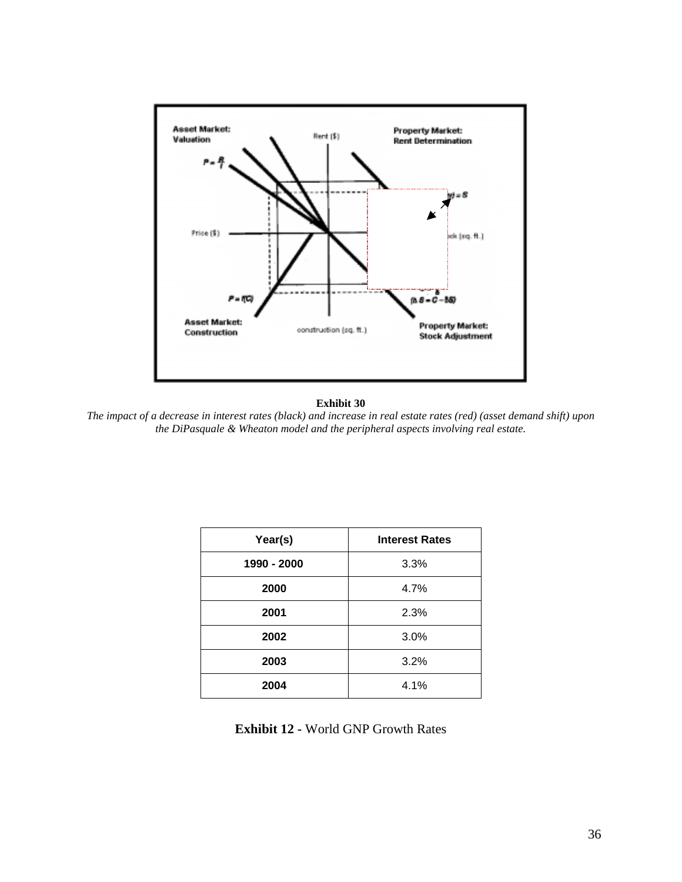

#### **Exhibit 30**

*The impact of a decrease in interest rates (black) and increase in real estate rates (red) (asset demand shift) upon the DiPasquale & Wheaton model and the peripheral aspects involving real estate.* 

| Year(s)     | <b>Interest Rates</b> |
|-------------|-----------------------|
| 1990 - 2000 | 3.3%                  |
| 2000        | 4.7%                  |
| 2001        | 2.3%                  |
| 2002        | 3.0%                  |
| 2003        | 3.2%                  |
| 2004        | 4.1%                  |

**Exhibit 12 -** World GNP Growth Rates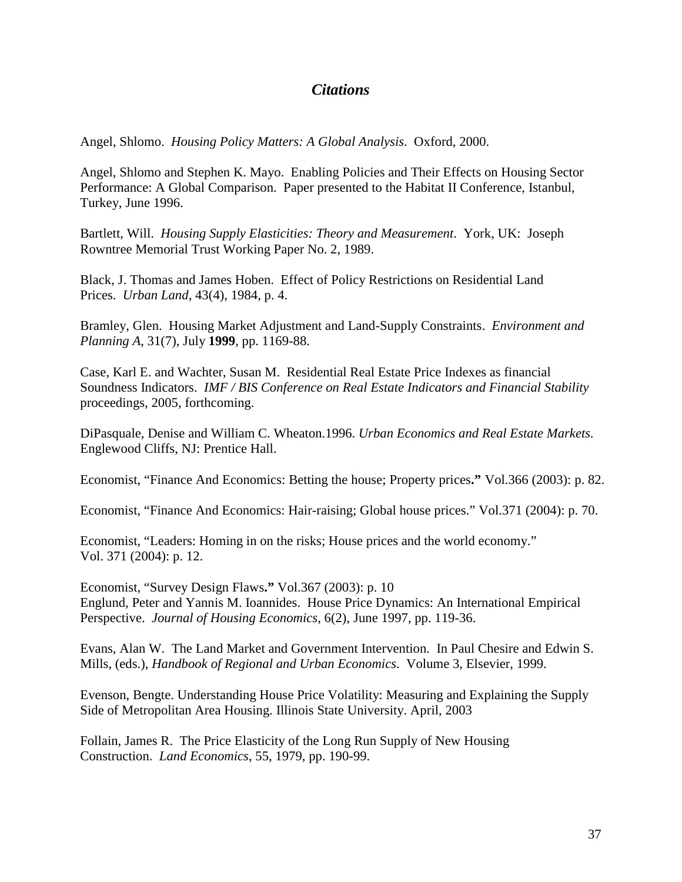# *Citations*

Angel, Shlomo. *Housing Policy Matters: A Global Analysis*. Oxford, 2000.

Angel, Shlomo and Stephen K. Mayo. Enabling Policies and Their Effects on Housing Sector Performance: A Global Comparison. Paper presented to the Habitat II Conference, Istanbul, Turkey, June 1996.

Bartlett, Will. *Housing Supply Elasticities: Theory and Measurement*. York, UK: Joseph Rowntree Memorial Trust Working Paper No. 2, 1989.

Black, J. Thomas and James Hoben. Effect of Policy Restrictions on Residential Land Prices. *Urban Land*, 43(4), 1984, p. 4.

Bramley, Glen. Housing Market Adjustment and Land-Supply Constraints. *Environment and Planning A*, 31(7), July **1999**, pp. 1169-88.

Case, Karl E. and Wachter, Susan M. Residential Real Estate Price Indexes as financial Soundness Indicators. *IMF / BIS Conference on Real Estate Indicators and Financial Stability* proceedings, 2005, forthcoming.

DiPasquale, Denise and William C. Wheaton.1996. *Urban Economics and Real Estate Markets.* Englewood Cliffs, NJ: Prentice Hall.

Economist, "Finance And Economics: Betting the house; Property prices**."** Vol.366 (2003): p. 82.

Economist, "Finance And Economics: Hair-raising; Global house prices." Vol.371 (2004): p. 70.

Economist, "Leaders: Homing in on the risks; House prices and the world economy." Vol. 371 (2004): p. 12.

Economist, "Survey Design Flaws**."** Vol.367 (2003): p. 10 Englund, Peter and Yannis M. Ioannides. House Price Dynamics: An International Empirical Perspective. *Journal of Housing Economics*, 6(2), June 1997, pp. 119-36.

Evans, Alan W. The Land Market and Government Intervention. In Paul Chesire and Edwin S. Mills, (eds.), *Handbook of Regional and Urban Economics*. Volume 3, Elsevier, 1999.

Evenson, Bengte. Understanding House Price Volatility: Measuring and Explaining the Supply Side of Metropolitan Area Housing. Illinois State University. April, 2003

Follain, James R. The Price Elasticity of the Long Run Supply of New Housing Construction. *Land Economics*, 55, 1979, pp. 190-99.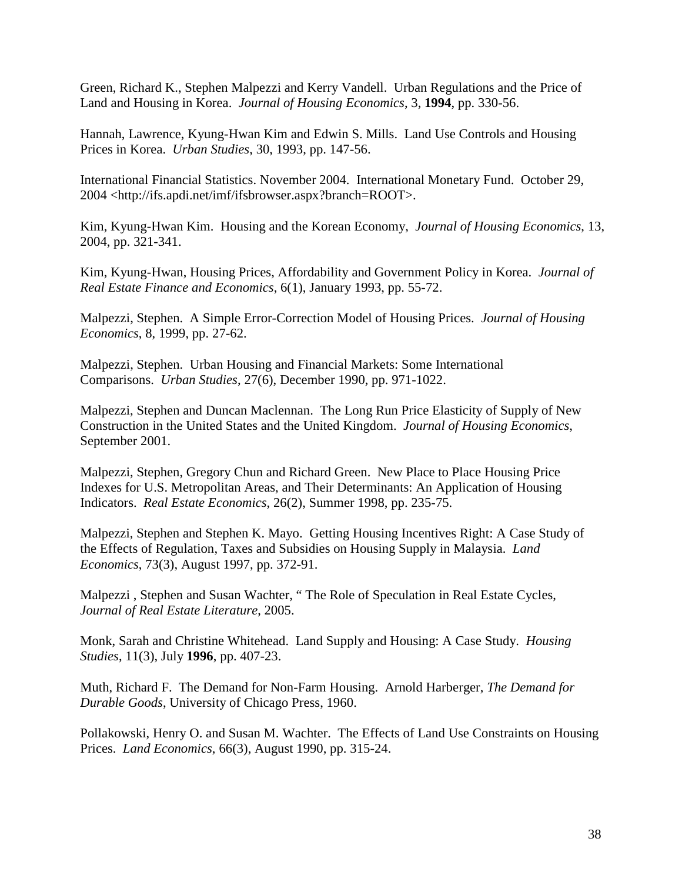Green, Richard K., Stephen Malpezzi and Kerry Vandell. Urban Regulations and the Price of Land and Housing in Korea. *Journal of Housing Economics*, 3, **1994**, pp. 330-56.

Hannah, Lawrence, Kyung-Hwan Kim and Edwin S. Mills. Land Use Controls and Housing Prices in Korea. *Urban Studies*, 30, 1993, pp. 147-56.

International Financial Statistics. November 2004. International Monetary Fund. October 29, 2004 <http://ifs.apdi.net/imf/ifsbrowser.aspx?branch=ROOT>.

Kim, Kyung-Hwan Kim. Housing and the Korean Economy, *Journal of Housing Economics*, 13, 2004, pp. 321-341.

Kim, Kyung-Hwan, Housing Prices, Affordability and Government Policy in Korea. *Journal of Real Estate Finance and Economics*, 6(1), January 1993, pp. 55-72.

Malpezzi, Stephen. A Simple Error-Correction Model of Housing Prices. *Journal of Housing Economics*, 8, 1999, pp. 27-62.

Malpezzi, Stephen. Urban Housing and Financial Markets: Some International Comparisons. *Urban Studies*, 27(6), December 1990, pp. 971-1022.

Malpezzi, Stephen and Duncan Maclennan. The Long Run Price Elasticity of Supply of New Construction in the United States and the United Kingdom. *Journal of Housing Economics*, September 2001.

Malpezzi, Stephen, Gregory Chun and Richard Green. New Place to Place Housing Price Indexes for U.S. Metropolitan Areas, and Their Determinants: An Application of Housing Indicators. *Real Estate Economics*, 26(2), Summer 1998, pp. 235-75.

Malpezzi, Stephen and Stephen K. Mayo. Getting Housing Incentives Right: A Case Study of the Effects of Regulation, Taxes and Subsidies on Housing Supply in Malaysia. *Land Economics*, 73(3), August 1997, pp. 372-91.

Malpezzi , Stephen and Susan Wachter, " The Role of Speculation in Real Estate Cycles, *Journal of Real Estate Literature*, 2005.

Monk, Sarah and Christine Whitehead. Land Supply and Housing: A Case Study. *Housing Studies*, 11(3), July **1996**, pp. 407-23.

Muth, Richard F. The Demand for Non-Farm Housing. Arnold Harberger, *The Demand for Durable Goods*, University of Chicago Press, 1960.

Pollakowski, Henry O. and Susan M. Wachter. The Effects of Land Use Constraints on Housing Prices. *Land Economics*, 66(3), August 1990, pp. 315-24.